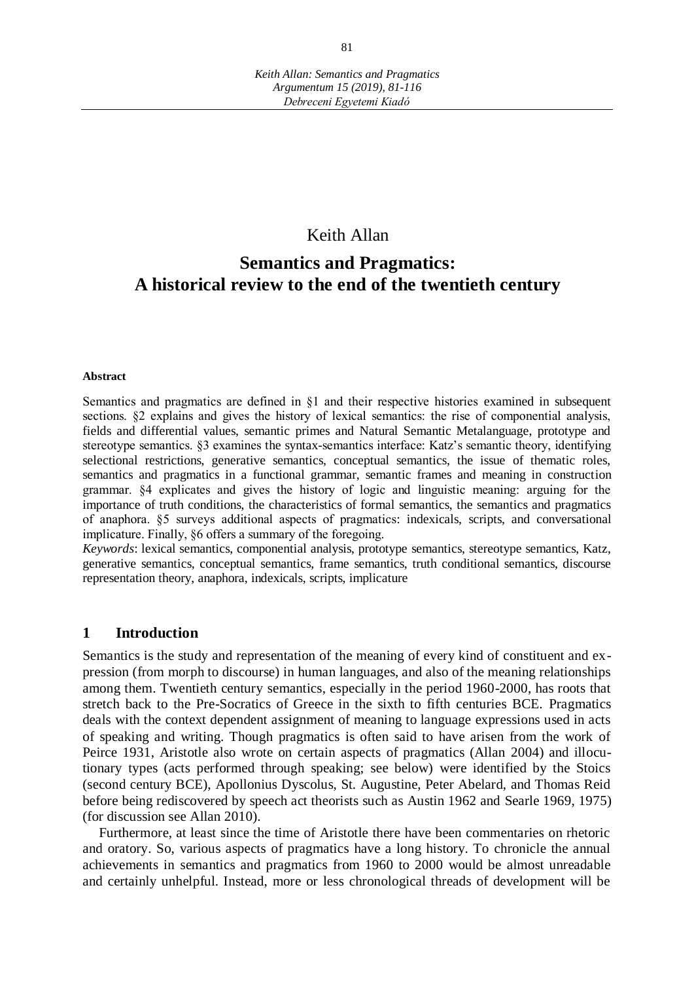# Keith Allan

# **Semantics and Pragmatics: A historical review to the end of the twentieth century**

#### **Abstract**

Semantics and pragmatics are defined in §1 and their respective histories examined in subsequent sections. §2 explains and gives the history of lexical semantics: the rise of componential analysis, fields and differential values, semantic primes and Natural Semantic Metalanguage, prototype and stereotype semantics. §3 examines the syntax-semantics interface: Katz's semantic theory, identifying selectional restrictions, generative semantics, conceptual semantics, the issue of thematic roles, semantics and pragmatics in a functional grammar, semantic frames and meaning in construction grammar. §4 explicates and gives the history of logic and linguistic meaning: arguing for the importance of truth conditions, the characteristics of formal semantics, the semantics and pragmatics of anaphora. §5 surveys additional aspects of pragmatics: indexicals, scripts, and conversational implicature. Finally, §6 offers a summary of the foregoing.

*Keywords*: lexical semantics, componential analysis, prototype semantics, stereotype semantics, Katz, generative semantics, conceptual semantics, frame semantics, truth conditional semantics, discourse representation theory, anaphora, indexicals, scripts, implicature

#### **1 Introduction**

Semantics is the study and representation of the meaning of every kind of constituent and expression (from morph to discourse) in human languages, and also of the meaning relationships among them. Twentieth century semantics, especially in the period 1960-2000, has roots that stretch back to the Pre-Socratics of Greece in the sixth to fifth centuries BCE. Pragmatics deals with the context dependent assignment of meaning to language expressions used in acts of speaking and writing. Though pragmatics is often said to have arisen from the work of Peirce 1931, Aristotle also wrote on certain aspects of pragmatics (Allan 2004) and illocutionary types (acts performed through speaking; see below) were identified by the Stoics (second century BCE), Apollonius Dyscolus, St. Augustine, Peter Abelard, and Thomas Reid before being rediscovered by speech act theorists such as Austin 1962 and Searle 1969, 1975) (for discussion see Allan 2010).

Furthermore, at least since the time of Aristotle there have been commentaries on rhetoric and oratory. So, various aspects of pragmatics have a long history. To chronicle the annual achievements in semantics and pragmatics from 1960 to 2000 would be almost unreadable and certainly unhelpful. Instead, more or less chronological threads of development will be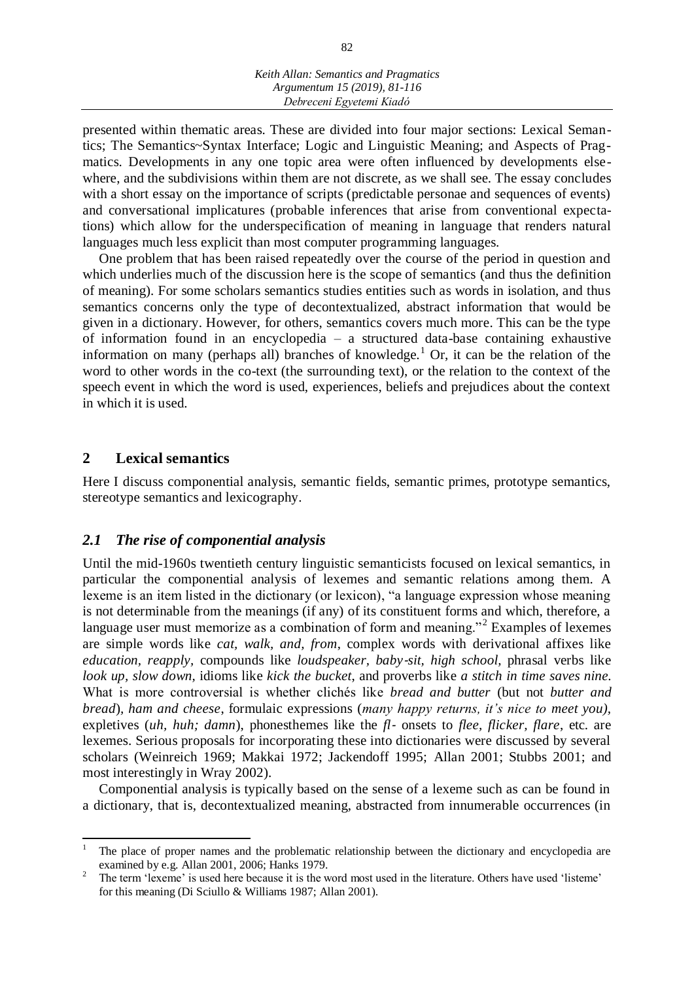presented within thematic areas. These are divided into four major sections: Lexical Semantics; The Semantics~Syntax Interface; Logic and Linguistic Meaning; and Aspects of Pragmatics. Developments in any one topic area were often influenced by developments elsewhere, and the subdivisions within them are not discrete, as we shall see. The essay concludes with a short essay on the importance of scripts (predictable personae and sequences of events) and conversational implicatures (probable inferences that arise from conventional expectations) which allow for the underspecification of meaning in language that renders natural languages much less explicit than most computer programming languages.

One problem that has been raised repeatedly over the course of the period in question and which underlies much of the discussion here is the scope of semantics (and thus the definition of meaning). For some scholars semantics studies entities such as words in isolation, and thus semantics concerns only the type of decontextualized, abstract information that would be given in a dictionary. However, for others, semantics covers much more. This can be the type of information found in an encyclopedia – a structured data-base containing exhaustive information on many (perhaps all) branches of knowledge.<sup>1</sup> Or, it can be the relation of the word to other words in the co-text (the surrounding text), or the relation to the context of the speech event in which the word is used, experiences, beliefs and prejudices about the context in which it is used.

## **2 Lexical semantics**

 $\overline{a}$ 

Here I discuss componential analysis, semantic fields, semantic primes, prototype semantics, stereotype semantics and lexicography.

#### *2.1 The rise of componential analysis*

Until the mid-1960s twentieth century linguistic semanticists focused on lexical semantics, in particular the componential analysis of lexemes and semantic relations among them. A lexeme is an item listed in the dictionary (or lexicon), "a language expression whose meaning is not determinable from the meanings (if any) of its constituent forms and which, therefore, a language user must memorize as a combination of form and meaning."<sup>2</sup> Examples of lexemes are simple words like *cat, walk, and, from*, complex words with derivational affixes like *education, reapply,* compounds like *loudspeaker, baby*-*sit, high school,* phrasal verbs like *look up, slow down,* idioms like *kick the bucket*, and proverbs like *a stitch in time saves nine.*  What is more controversial is whether clichés like *bread and butter* (but not *butter and bread*)*, ham and cheese*, formulaic expressions (*many happy returns, it's nice to meet you),*  expletives (*uh, huh; damn*), phonesthemes like the *fl*- onsets to *flee, flicker, flare*, etc. are lexemes. Serious proposals for incorporating these into dictionaries were discussed by several scholars (Weinreich 1969; Makkai 1972; Jackendoff 1995; Allan 2001; Stubbs 2001; and most interestingly in Wray 2002).

Componential analysis is typically based on the sense of a lexeme such as can be found in a dictionary, that is, decontextualized meaning, abstracted from innumerable occurrences (in

<sup>1</sup> The place of proper names and the problematic relationship between the dictionary and encyclopedia are examined by e.g. Allan 2001, 2006; Hanks 1979.

<sup>2</sup> The term 'lexeme' is used here because it is the word most used in the literature. Others have used 'listeme' for this meaning (Di Sciullo & Williams 1987; Allan 2001).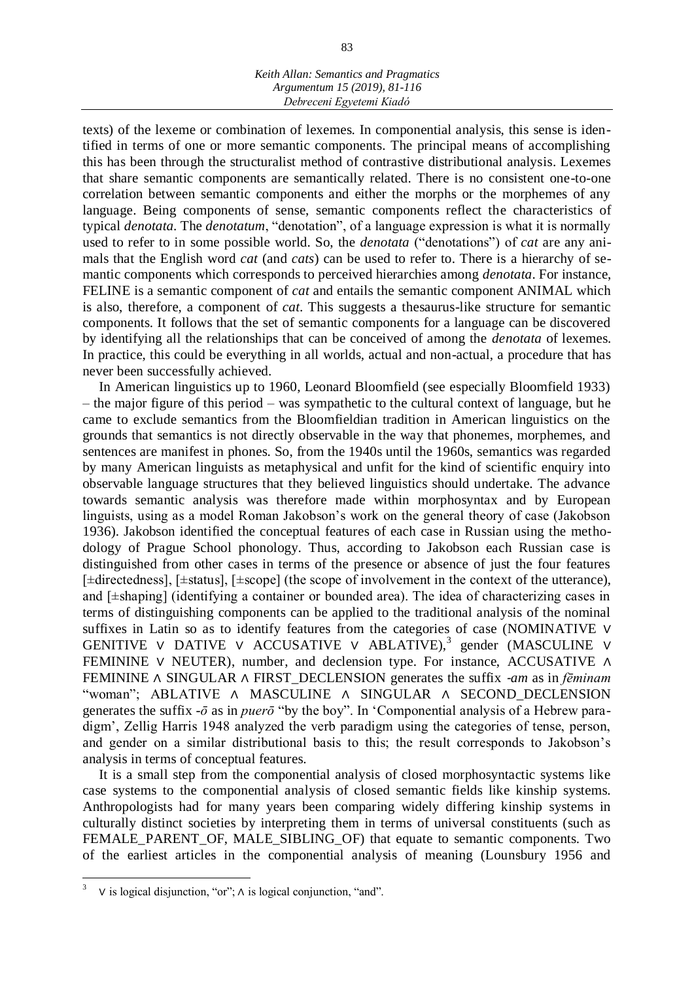texts) of the lexeme or combination of lexemes. In componential analysis, this sense is identified in terms of one or more semantic components. The principal means of accomplishing this has been through the structuralist method of contrastive distributional analysis. Lexemes that share semantic components are semantically related. There is no consistent one-to-one correlation between semantic components and either the morphs or the morphemes of any language. Being components of sense, semantic components reflect the characteristics of typical *denotata.* The *denotatum*, "denotation", of a language expression is what it is normally used to refer to in some possible world. So, the *denotata* ("denotations") of *cat* are any animals that the English word *cat* (and *cats*) can be used to refer to. There is a hierarchy of semantic components which corresponds to perceived hierarchies among *denotata*. For instance, FELINE is a semantic component of *cat* and entails the semantic component ANIMAL which is also, therefore, a component of *cat*. This suggests a thesaurus-like structure for semantic components. It follows that the set of semantic components for a language can be discovered by identifying all the relationships that can be conceived of among the *denotata* of lexemes. In practice, this could be everything in all worlds, actual and non-actual, a procedure that has never been successfully achieved.

In American linguistics up to 1960, Leonard Bloomfield (see especially Bloomfield 1933) – the major figure of this period – was sympathetic to the cultural context of language, but he came to exclude semantics from the Bloomfieldian tradition in American linguistics on the grounds that semantics is not directly observable in the way that phonemes, morphemes, and sentences are manifest in phones. So, from the 1940s until the 1960s, semantics was regarded by many American linguists as metaphysical and unfit for the kind of scientific enquiry into observable language structures that they believed linguistics should undertake. The advance towards semantic analysis was therefore made within morphosyntax and by European linguists, using as a model Roman Jakobson's work on the general theory of case (Jakobson 1936). Jakobson identified the conceptual features of each case in Russian using the methodology of Prague School phonology. Thus, according to Jakobson each Russian case is distinguished from other cases in terms of the presence or absence of just the four features [±directedness], [±status], [±scope] (the scope of involvement in the context of the utterance), and [±shaping] (identifying a container or bounded area). The idea of characterizing cases in terms of distinguishing components can be applied to the traditional analysis of the nominal suffixes in Latin so as to identify features from the categories of case (NOMINATIVE ∨ GENITIVE V DATIVE V ACCUSATIVE V ABLATIVE),<sup>3</sup> gender (MASCULINE V FEMININE ∨ NEUTER), number, and declension type. For instance, ACCUSATIVE ∧ FEMININE ∧ SINGULAR ∧ FIRST\_DECLENSION generates the suffix -*am* as in *fēminam*  "woman"; ABLATIVE ∧ MASCULINE ∧ SINGULAR ∧ SECOND\_DECLENSION generates the suffix *-ō* as in *puerō* "by the boy". In 'Componential analysis of a Hebrew paradigm', Zellig Harris 1948 analyzed the verb paradigm using the categories of tense, person, and gender on a similar distributional basis to this; the result corresponds to Jakobson's analysis in terms of conceptual features.

It is a small step from the componential analysis of closed morphosyntactic systems like case systems to the componential analysis of closed semantic fields like kinship systems. Anthropologists had for many years been comparing widely differing kinship systems in culturally distinct societies by interpreting them in terms of universal constituents (such as FEMALE\_PARENT\_OF, MALE\_SIBLING\_OF) that equate to semantic components. Two of the earliest articles in the componential analysis of meaning (Lounsbury 1956 and

<sup>3</sup> ∨ is logical disjunction, "or"; ∧ is logical conjunction, "and".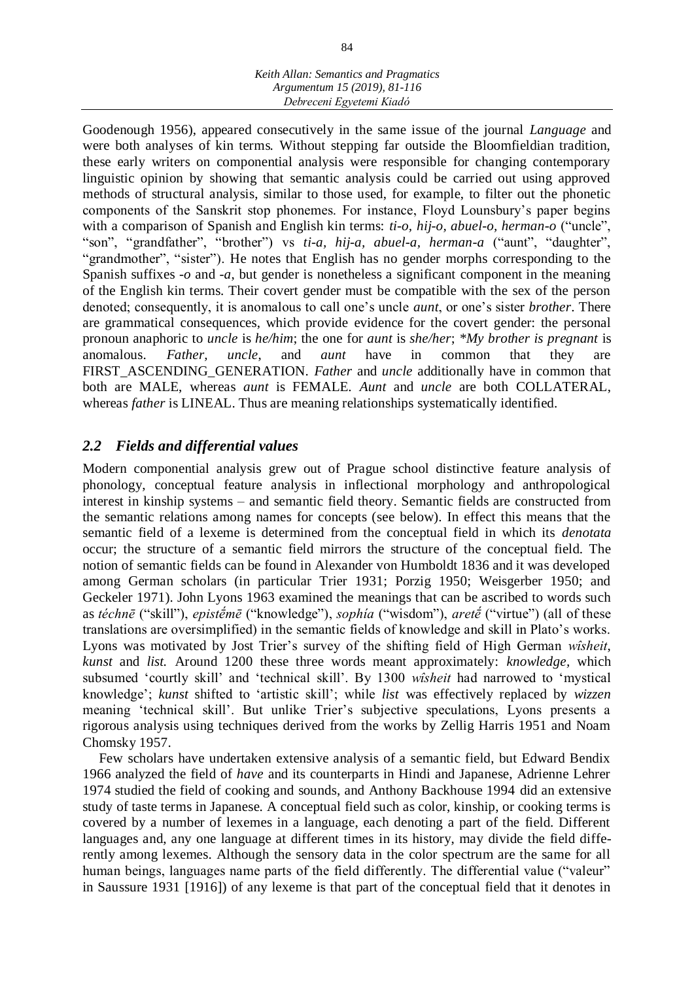Goodenough 1956), appeared consecutively in the same issue of the journal *Language* and were both analyses of kin terms*.* Without stepping far outside the Bloomfieldian tradition, these early writers on componential analysis were responsible for changing contemporary linguistic opinion by showing that semantic analysis could be carried out using approved methods of structural analysis, similar to those used, for example, to filter out the phonetic components of the Sanskrit stop phonemes. For instance, Floyd Lounsbury's paper begins with a comparison of Spanish and English kin terms: *ti-o, hij-o, abuel-o, herman-o* ("uncle", "son", "grandfather", "brother") vs *ti-a, hij-a, abuel-a, herman-a* ("aunt", "daughter", "grandmother", "sister"). He notes that English has no gender morphs corresponding to the Spanish suffixes *-o* and *-a*, but gender is nonetheless a significant component in the meaning of the English kin terms. Their covert gender must be compatible with the sex of the person denoted; consequently, it is anomalous to call one's uncle *aunt*, or one's sister *brother*. There are grammatical consequences, which provide evidence for the covert gender: the personal pronoun anaphoric to *uncle* is *he/him*; the one for *aunt* is *she/her*; *\*My brother is pregnant* is anomalous. *Father, uncle*, and *aunt* have in common that they are FIRST\_ASCENDING\_GENERATION. *Father* and *uncle* additionally have in common that both are MALE, whereas *aunt* is FEMALE. *Aunt* and *uncle* are both COLLATERAL, whereas *father* is LINEAL. Thus are meaning relationships systematically identified.

# *2.2 Fields and differential values*

Modern componential analysis grew out of Prague school distinctive feature analysis of phonology, conceptual feature analysis in inflectional morphology and anthropological interest in kinship systems – and semantic field theory. Semantic fields are constructed from the semantic relations among names for concepts (see below). In effect this means that the semantic field of a lexeme is determined from the conceptual field in which its *denotata*  occur; the structure of a semantic field mirrors the structure of the conceptual field. The notion of semantic fields can be found in Alexander von Humboldt 1836 and it was developed among German scholars (in particular Trier 1931; Porzig 1950; Weisgerber 1950; and Geckeler 1971). John Lyons 1963 examined the meanings that can be ascribed to words such as *téchnē* ("skill"), *epistḗmē* ("knowledge"), *sophía* ("wisdom"), *aretḗ* ("virtue") (all of these translations are oversimplified) in the semantic fields of knowledge and skill in Plato's works. Lyons was motivated by Jost Trier's survey of the shifting field of High German *wîsheit*, *kunst* and *list.* Around 1200 these three words meant approximately: *knowledge,* which subsumed 'courtly skill' and 'technical skill'. By 1300 *wîsheit* had narrowed to 'mystical knowledge'; *kunst* shifted to 'artistic skill'; while *list* was effectively replaced by *wizzen*  meaning 'technical skill'. But unlike Trier's subjective speculations, Lyons presents a rigorous analysis using techniques derived from the works by Zellig Harris 1951 and Noam Chomsky 1957.

Few scholars have undertaken extensive analysis of a semantic field, but Edward Bendix 1966 analyzed the field of *have* and its counterparts in Hindi and Japanese, Adrienne Lehrer 1974 studied the field of cooking and sounds, and Anthony Backhouse 1994 did an extensive study of taste terms in Japanese. A conceptual field such as color, kinship, or cooking terms is covered by a number of lexemes in a language, each denoting a part of the field. Different languages and, any one language at different times in its history, may divide the field differently among lexemes. Although the sensory data in the color spectrum are the same for all human beings, languages name parts of the field differently. The differential value ("valeur" in Saussure 1931 [1916]) of any lexeme is that part of the conceptual field that it denotes in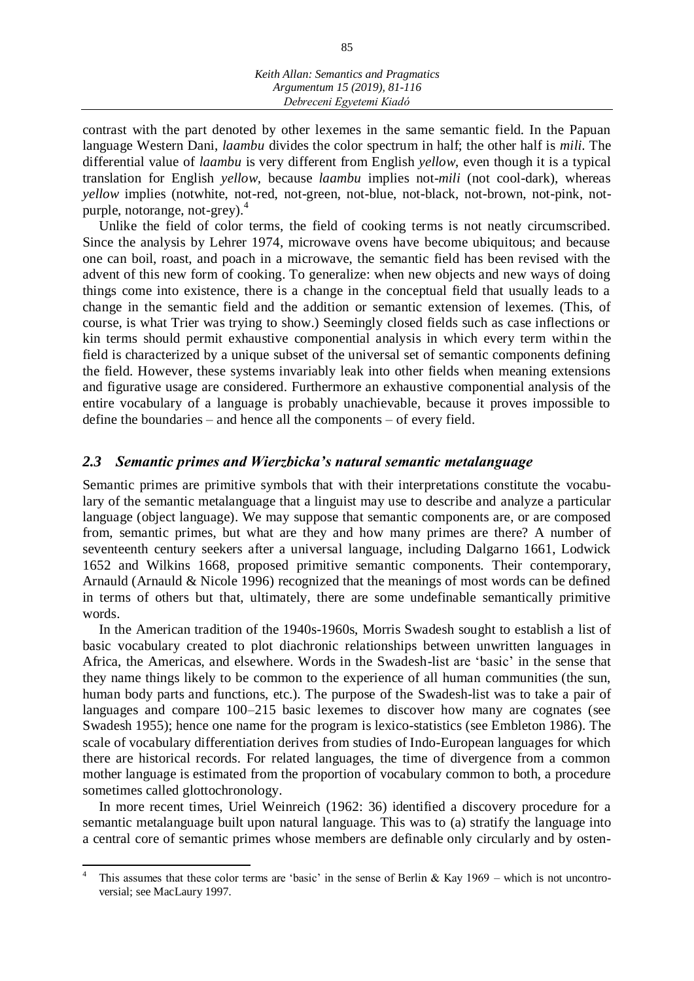*Keith Allan: Semantics and Pragmatics Argumentum 15 (2019), 81-116 Debreceni Egyetemi Kiadó*

contrast with the part denoted by other lexemes in the same semantic field. In the Papuan language Western Dani, *laambu* divides the color spectrum in half; the other half is *mili*. The differential value of *laambu* is very different from English *yellow*, even though it is a typical translation for English *yellow,* because *laambu* implies not-*mili* (not cool-dark), whereas *yellow* implies (notwhite, not-red, not-green, not-blue, not-black, not-brown, not-pink, notpurple, notorange, not-grey). $4$ 

Unlike the field of color terms, the field of cooking terms is not neatly circumscribed. Since the analysis by Lehrer 1974, microwave ovens have become ubiquitous; and because one can boil, roast, and poach in a microwave, the semantic field has been revised with the advent of this new form of cooking. To generalize: when new objects and new ways of doing things come into existence, there is a change in the conceptual field that usually leads to a change in the semantic field and the addition or semantic extension of lexemes. (This, of course, is what Trier was trying to show.) Seemingly closed fields such as case inflections or kin terms should permit exhaustive componential analysis in which every term within the field is characterized by a unique subset of the universal set of semantic components defining the field. However, these systems invariably leak into other fields when meaning extensions and figurative usage are considered. Furthermore an exhaustive componential analysis of the entire vocabulary of a language is probably unachievable, because it proves impossible to define the boundaries – and hence all the components – of every field.

## *2.3 Semantic primes and Wierzbicka's natural semantic metalanguage*

Semantic primes are primitive symbols that with their interpretations constitute the vocabulary of the semantic metalanguage that a linguist may use to describe and analyze a particular language (object language). We may suppose that semantic components are, or are composed from, semantic primes, but what are they and how many primes are there? A number of seventeenth century seekers after a universal language, including Dalgarno 1661, Lodwick 1652 and Wilkins 1668, proposed primitive semantic components. Their contemporary, Arnauld (Arnauld & Nicole 1996) recognized that the meanings of most words can be defined in terms of others but that, ultimately, there are some undefinable semantically primitive words.

In the American tradition of the 1940s-1960s, Morris Swadesh sought to establish a list of basic vocabulary created to plot diachronic relationships between unwritten languages in Africa, the Americas, and elsewhere. Words in the Swadesh-list are 'basic' in the sense that they name things likely to be common to the experience of all human communities (the sun, human body parts and functions, etc.). The purpose of the Swadesh-list was to take a pair of languages and compare 100–215 basic lexemes to discover how many are cognates (see Swadesh 1955); hence one name for the program is lexico-statistics (see Embleton 1986). The scale of vocabulary differentiation derives from studies of Indo-European languages for which there are historical records. For related languages, the time of divergence from a common mother language is estimated from the proportion of vocabulary common to both, a procedure sometimes called glottochronology.

In more recent times, Uriel Weinreich (1962: 36) identified a discovery procedure for a semantic metalanguage built upon natural language. This was to (a) stratify the language into a central core of semantic primes whose members are definable only circularly and by osten-

 $\overline{a}$ 

<sup>4</sup> This assumes that these color terms are 'basic' in the sense of Berlin & Kay  $1969$  – which is not uncontroversial; see MacLaury 1997.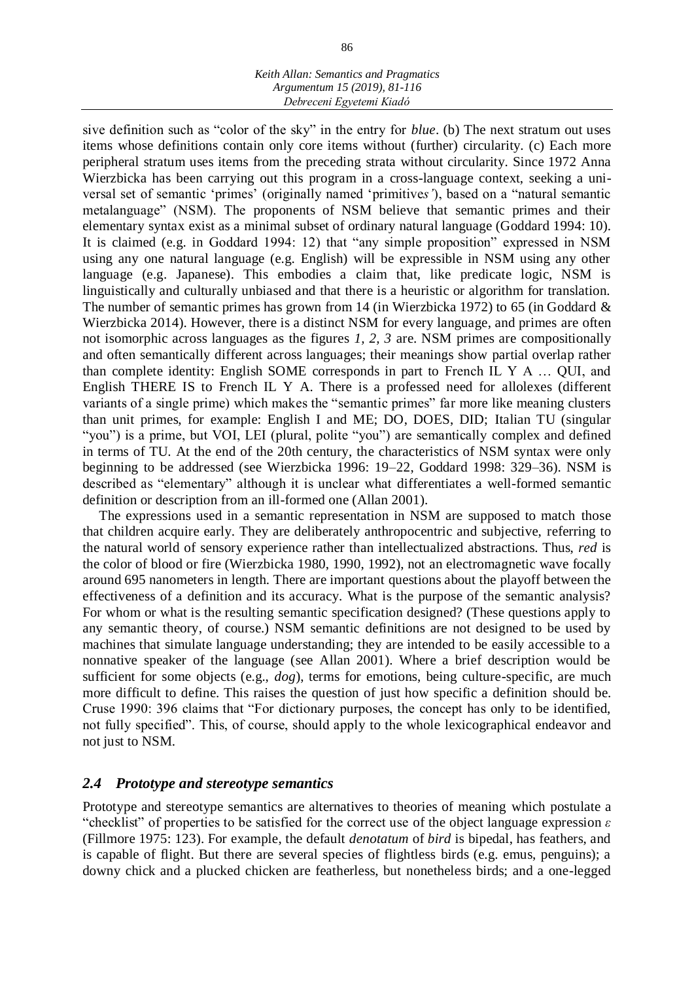#### *Keith Allan: Semantics and Pragmatics Argumentum 15 (2019), 81-116 Debreceni Egyetemi Kiadó*

sive definition such as "color of the sky" in the entry for *blue*. (b) The next stratum out uses items whose definitions contain only core items without (further) circularity. (c) Each more peripheral stratum uses items from the preceding strata without circularity. Since 1972 Anna Wierzbicka has been carrying out this program in a cross-language context, seeking a universal set of semantic 'primes' (originally named 'primitive*s'*), based on a "natural semantic metalanguage" (NSM). The proponents of NSM believe that semantic primes and their elementary syntax exist as a minimal subset of ordinary natural language (Goddard 1994: 10). It is claimed (e.g. in Goddard 1994: 12) that "any simple proposition" expressed in NSM using any one natural language (e.g. English) will be expressible in NSM using any other language (e.g. Japanese). This embodies a claim that, like predicate logic, NSM is linguistically and culturally unbiased and that there is a heuristic or algorithm for translation. The number of semantic primes has grown from 14 (in Wierzbicka 1972) to 65 (in Goddard & Wierzbicka 2014). However, there is a distinct NSM for every language, and primes are often not isomorphic across languages as the figures *1, 2, 3* are. NSM primes are compositionally and often semantically different across languages; their meanings show partial overlap rather than complete identity: English SOME corresponds in part to French IL Y A … QUI, and English THERE IS to French IL Y A. There is a professed need for allolexes (different variants of a single prime) which makes the "semantic primes" far more like meaning clusters than unit primes, for example: English I and ME; DO, DOES, DID; Italian TU (singular "you") is a prime, but VOI, LEI (plural, polite "you") are semantically complex and defined in terms of TU. At the end of the 20th century, the characteristics of NSM syntax were only beginning to be addressed (see Wierzbicka 1996: 19–22, Goddard 1998: 329–36). NSM is described as "elementary" although it is unclear what differentiates a well-formed semantic definition or description from an ill-formed one (Allan 2001).

The expressions used in a semantic representation in NSM are supposed to match those that children acquire early. They are deliberately anthropocentric and subjective, referring to the natural world of sensory experience rather than intellectualized abstractions. Thus, *red* is the color of blood or fire (Wierzbicka 1980, 1990, 1992), not an electromagnetic wave focally around 695 nanometers in length. There are important questions about the playoff between the effectiveness of a definition and its accuracy. What is the purpose of the semantic analysis? For whom or what is the resulting semantic specification designed? (These questions apply to any semantic theory, of course.) NSM semantic definitions are not designed to be used by machines that simulate language understanding; they are intended to be easily accessible to a nonnative speaker of the language (see Allan 2001). Where a brief description would be sufficient for some objects (e.g., *dog*), terms for emotions, being culture-specific, are much more difficult to define. This raises the question of just how specific a definition should be. Cruse 1990: 396 claims that "For dictionary purposes, the concept has only to be identified, not fully specified". This, of course, should apply to the whole lexicographical endeavor and not just to NSM.

## *2.4 Prototype and stereotype semantics*

Prototype and stereotype semantics are alternatives to theories of meaning which postulate a "checklist" of properties to be satisfied for the correct use of the object language expression *ε*  (Fillmore 1975: 123). For example, the default *denotatum* of *bird* is bipedal, has feathers, and is capable of flight. But there are several species of flightless birds (e.g. emus, penguins); a downy chick and a plucked chicken are featherless, but nonetheless birds; and a one-legged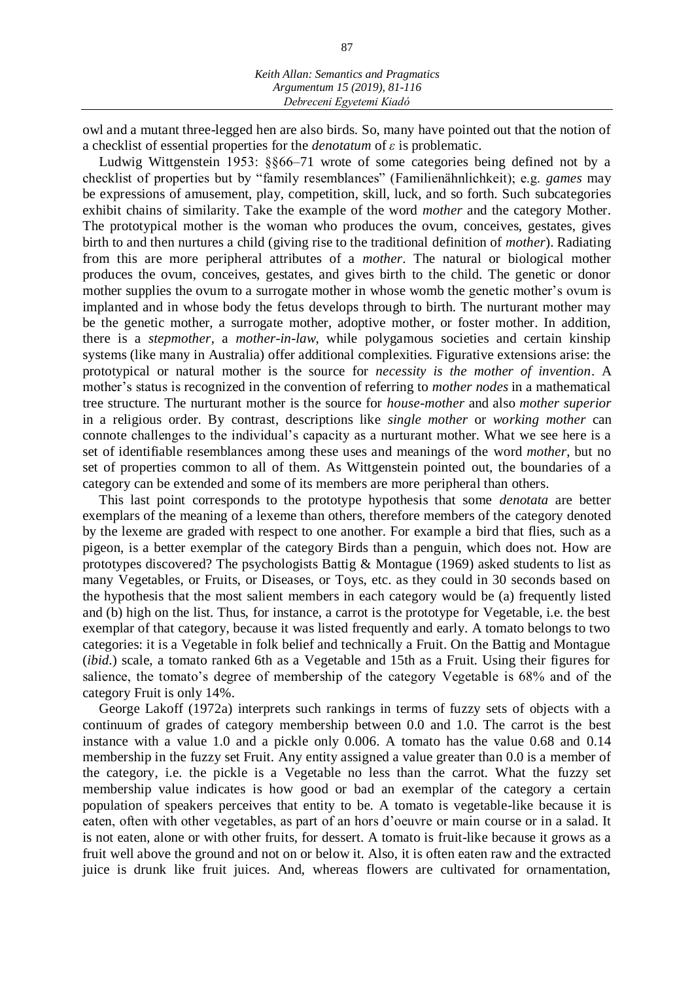owl and a mutant three-legged hen are also birds. So, many have pointed out that the notion of a checklist of essential properties for the *denotatum* of *ε* is problematic.

Ludwig Wittgenstein 1953: §§66–71 wrote of some categories being defined not by a checklist of properties but by "family resemblances" (Familienähnlichkeit); e.g. *games* may be expressions of amusement, play, competition, skill, luck, and so forth. Such subcategories exhibit chains of similarity. Take the example of the word *mother* and the category Mother. The prototypical mother is the woman who produces the ovum, conceives, gestates, gives birth to and then nurtures a child (giving rise to the traditional definition of *mother*). Radiating from this are more peripheral attributes of a *mother*. The natural or biological mother produces the ovum, conceives, gestates, and gives birth to the child. The genetic or donor mother supplies the ovum to a surrogate mother in whose womb the genetic mother's ovum is implanted and in whose body the fetus develops through to birth. The nurturant mother may be the genetic mother, a surrogate mother, adoptive mother, or foster mother. In addition, there is a *stepmother*, a *mother-in-law*, while polygamous societies and certain kinship systems (like many in Australia) offer additional complexities. Figurative extensions arise: the prototypical or natural mother is the source for *necessity is the mother of invention*. A mother's status is recognized in the convention of referring to *mother nodes* in a mathematical tree structure. The nurturant mother is the source for *house-mother* and also *mother superior*  in a religious order. By contrast, descriptions like *single mother* or *working mother* can connote challenges to the individual's capacity as a nurturant mother. What we see here is a set of identifiable resemblances among these uses and meanings of the word *mother*, but no set of properties common to all of them. As Wittgenstein pointed out, the boundaries of a category can be extended and some of its members are more peripheral than others.

This last point corresponds to the prototype hypothesis that some *denotata* are better exemplars of the meaning of a lexeme than others, therefore members of the category denoted by the lexeme are graded with respect to one another. For example a bird that flies, such as a pigeon, is a better exemplar of the category Birds than a penguin, which does not. How are prototypes discovered? The psychologists Battig & Montague (1969) asked students to list as many Vegetables, or Fruits, or Diseases, or Toys, etc. as they could in 30 seconds based on the hypothesis that the most salient members in each category would be (a) frequently listed and (b) high on the list. Thus, for instance, a carrot is the prototype for Vegetable, i.e. the best exemplar of that category, because it was listed frequently and early. A tomato belongs to two categories: it is a Vegetable in folk belief and technically a Fruit. On the Battig and Montague (*ibid.*) scale, a tomato ranked 6th as a Vegetable and 15th as a Fruit. Using their figures for salience, the tomato's degree of membership of the category Vegetable is 68% and of the category Fruit is only 14%.

George Lakoff (1972a) interprets such rankings in terms of fuzzy sets of objects with a continuum of grades of category membership between 0.0 and 1.0. The carrot is the best instance with a value 1.0 and a pickle only 0.006. A tomato has the value 0.68 and 0.14 membership in the fuzzy set Fruit. Any entity assigned a value greater than 0.0 is a member of the category, i.e. the pickle is a Vegetable no less than the carrot. What the fuzzy set membership value indicates is how good or bad an exemplar of the category a certain population of speakers perceives that entity to be. A tomato is vegetable-like because it is eaten, often with other vegetables, as part of an hors d'oeuvre or main course or in a salad. It is not eaten, alone or with other fruits, for dessert. A tomato is fruit-like because it grows as a fruit well above the ground and not on or below it. Also, it is often eaten raw and the extracted juice is drunk like fruit juices. And, whereas flowers are cultivated for ornamentation,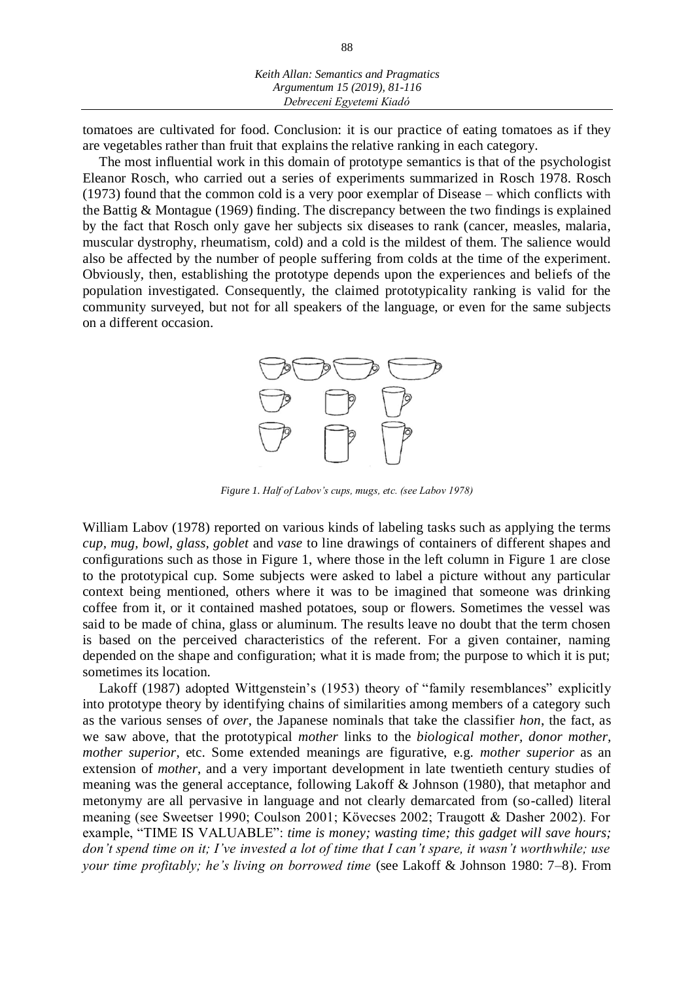tomatoes are cultivated for food. Conclusion: it is our practice of eating tomatoes as if they are vegetables rather than fruit that explains the relative ranking in each category.

The most influential work in this domain of prototype semantics is that of the psychologist Eleanor Rosch, who carried out a series of experiments summarized in Rosch 1978. Rosch (1973) found that the common cold is a very poor exemplar of Disease – which conflicts with the Battig & Montague (1969) finding. The discrepancy between the two findings is explained by the fact that Rosch only gave her subjects six diseases to rank (cancer, measles, malaria, muscular dystrophy, rheumatism, cold) and a cold is the mildest of them. The salience would also be affected by the number of people suffering from colds at the time of the experiment. Obviously, then, establishing the prototype depends upon the experiences and beliefs of the population investigated. Consequently, the claimed prototypicality ranking is valid for the community surveyed, but not for all speakers of the language, or even for the same subjects on a different occasion.



*Figure 1. Half of Labov's cups, mugs, etc. (see Labov 1978)*

William Labov (1978) reported on various kinds of labeling tasks such as applying the terms *cup, mug, bowl, glass, goblet* and *vase* to line drawings of containers of different shapes and configurations such as those in Figure 1, where those in the left column in Figure 1 are close to the prototypical cup. Some subjects were asked to label a picture without any particular context being mentioned, others where it was to be imagined that someone was drinking coffee from it, or it contained mashed potatoes, soup or flowers. Sometimes the vessel was said to be made of china, glass or aluminum. The results leave no doubt that the term chosen is based on the perceived characteristics of the referent. For a given container, naming depended on the shape and configuration; what it is made from; the purpose to which it is put; sometimes its location.

Lakoff (1987) adopted Wittgenstein's (1953) theory of "family resemblances" explicitly into prototype theory by identifying chains of similarities among members of a category such as the various senses of *over*, the Japanese nominals that take the classifier *hon*, the fact, as we saw above, that the prototypical *mother* links to the *biological mother, donor mother, mother superior*, etc. Some extended meanings are figurative, e.g. *mother superior* as an extension of *mother*, and a very important development in late twentieth century studies of meaning was the general acceptance, following Lakoff & Johnson (1980), that metaphor and metonymy are all pervasive in language and not clearly demarcated from (so-called) literal meaning (see Sweetser 1990; Coulson 2001; Kövecses 2002; Traugott & Dasher 2002). For example, "TIME IS VALUABLE": *time is money; wasting time; this gadget will save hours; don't spend time on it; I've invested a lot of time that I can't spare, it wasn't worthwhile; use your time profitably; he's living on borrowed time* (see Lakoff & Johnson 1980: 7–8). From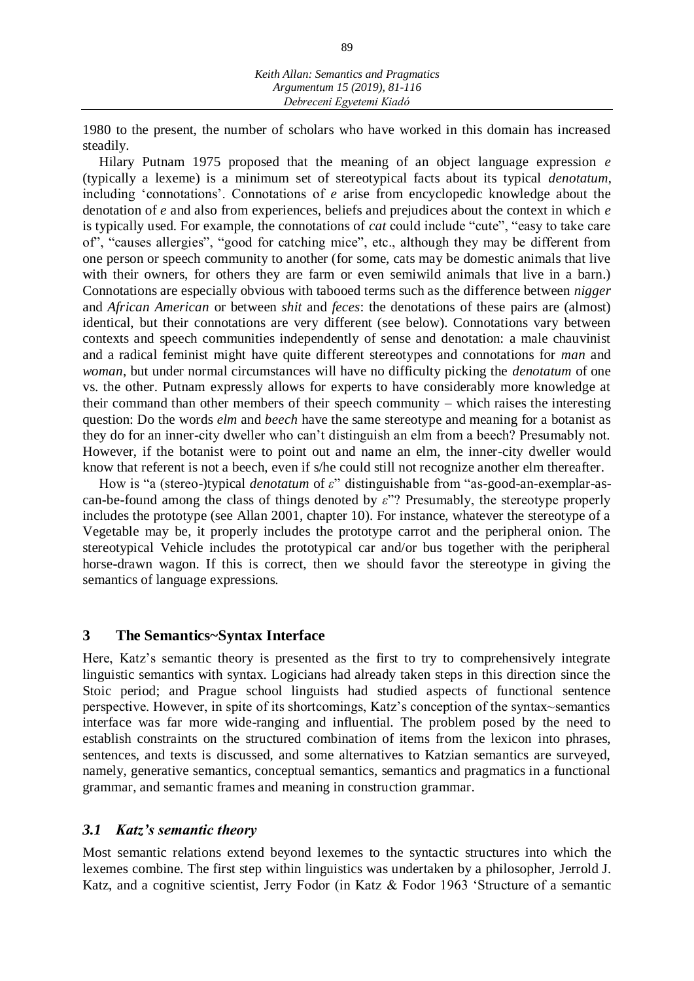1980 to the present, the number of scholars who have worked in this domain has increased steadily.

Hilary Putnam 1975 proposed that the meaning of an object language expression *e*  (typically a lexeme) is a minimum set of stereotypical facts about its typical *denotatum*, including 'connotations'. Connotations of *e* arise from encyclopedic knowledge about the denotation of *e* and also from experiences, beliefs and prejudices about the context in which *e*  is typically used. For example, the connotations of *cat* could include "cute", "easy to take care of", "causes allergies", "good for catching mice", etc., although they may be different from one person or speech community to another (for some, cats may be domestic animals that live with their owners, for others they are farm or even semiwild animals that live in a barn.) Connotations are especially obvious with tabooed terms such as the difference between *nigger*  and *African American* or between *shit* and *feces*: the denotations of these pairs are (almost) identical, but their connotations are very different (see below). Connotations vary between contexts and speech communities independently of sense and denotation: a male chauvinist and a radical feminist might have quite different stereotypes and connotations for *man* and *woman*, but under normal circumstances will have no difficulty picking the *denotatum* of one vs. the other. Putnam expressly allows for experts to have considerably more knowledge at their command than other members of their speech community – which raises the interesting question: Do the words *elm* and *beech* have the same stereotype and meaning for a botanist as they do for an inner-city dweller who can't distinguish an elm from a beech? Presumably not. However, if the botanist were to point out and name an elm, the inner-city dweller would know that referent is not a beech, even if s/he could still not recognize another elm thereafter.

How is "a (stereo-)typical *denotatum* of *ε*" distinguishable from "as-good-an-exemplar-ascan-be-found among the class of things denoted by *ε*"? Presumably, the stereotype properly includes the prototype (see Allan 2001, chapter 10). For instance, whatever the stereotype of a Vegetable may be, it properly includes the prototype carrot and the peripheral onion. The stereotypical Vehicle includes the prototypical car and/or bus together with the peripheral horse-drawn wagon. If this is correct, then we should favor the stereotype in giving the semantics of language expressions.

#### **3 The Semantics~Syntax Interface**

Here, Katz's semantic theory is presented as the first to try to comprehensively integrate linguistic semantics with syntax. Logicians had already taken steps in this direction since the Stoic period; and Prague school linguists had studied aspects of functional sentence perspective. However, in spite of its shortcomings, Katz's conception of the syntax~semantics interface was far more wide-ranging and influential. The problem posed by the need to establish constraints on the structured combination of items from the lexicon into phrases, sentences, and texts is discussed, and some alternatives to Katzian semantics are surveyed, namely, generative semantics, conceptual semantics, semantics and pragmatics in a functional grammar, and semantic frames and meaning in construction grammar.

#### *3.1 Katz's semantic theory*

Most semantic relations extend beyond lexemes to the syntactic structures into which the lexemes combine. The first step within linguistics was undertaken by a philosopher, Jerrold J. Katz, and a cognitive scientist, Jerry Fodor (in Katz & Fodor 1963 'Structure of a semantic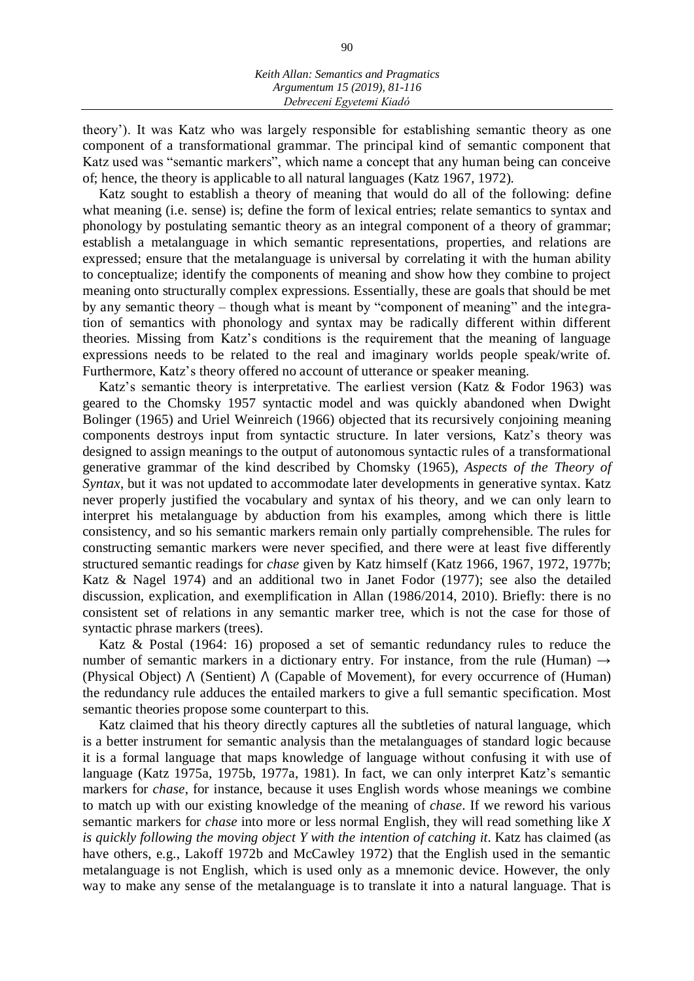theory'). It was Katz who was largely responsible for establishing semantic theory as one component of a transformational grammar. The principal kind of semantic component that Katz used was "semantic markers", which name a concept that any human being can conceive of; hence, the theory is applicable to all natural languages (Katz 1967, 1972).

Katz sought to establish a theory of meaning that would do all of the following: define what meaning (i.e. sense) is; define the form of lexical entries; relate semantics to syntax and phonology by postulating semantic theory as an integral component of a theory of grammar; establish a metalanguage in which semantic representations, properties, and relations are expressed; ensure that the metalanguage is universal by correlating it with the human ability to conceptualize; identify the components of meaning and show how they combine to project meaning onto structurally complex expressions. Essentially, these are goals that should be met by any semantic theory – though what is meant by "component of meaning" and the integration of semantics with phonology and syntax may be radically different within different theories. Missing from Katz's conditions is the requirement that the meaning of language expressions needs to be related to the real and imaginary worlds people speak/write of. Furthermore, Katz's theory offered no account of utterance or speaker meaning.

Katz's semantic theory is interpretative. The earliest version (Katz & Fodor 1963) was geared to the Chomsky 1957 syntactic model and was quickly abandoned when Dwight Bolinger (1965) and Uriel Weinreich (1966) objected that its recursively conjoining meaning components destroys input from syntactic structure. In later versions, Katz's theory was designed to assign meanings to the output of autonomous syntactic rules of a transformational generative grammar of the kind described by Chomsky (1965), *Aspects of the Theory of Syntax*, but it was not updated to accommodate later developments in generative syntax. Katz never properly justified the vocabulary and syntax of his theory, and we can only learn to interpret his metalanguage by abduction from his examples, among which there is little consistency, and so his semantic markers remain only partially comprehensible. The rules for constructing semantic markers were never specified, and there were at least five differently structured semantic readings for *chase* given by Katz himself (Katz 1966, 1967, 1972, 1977b; Katz & Nagel 1974) and an additional two in Janet Fodor (1977); see also the detailed discussion, explication, and exemplification in Allan (1986/2014, 2010). Briefly: there is no consistent set of relations in any semantic marker tree, which is not the case for those of syntactic phrase markers (trees).

Katz & Postal (1964: 16) proposed a set of semantic redundancy rules to reduce the number of semantic markers in a dictionary entry. For instance, from the rule (Human)  $\rightarrow$ (Physical Object)  $\Lambda$  (Sentient)  $\Lambda$  (Capable of Movement), for every occurrence of (Human) the redundancy rule adduces the entailed markers to give a full semantic specification. Most semantic theories propose some counterpart to this.

Katz claimed that his theory directly captures all the subtleties of natural language, which is a better instrument for semantic analysis than the metalanguages of standard logic because it is a formal language that maps knowledge of language without confusing it with use of language (Katz 1975a, 1975b, 1977a, 1981). In fact, we can only interpret Katz's semantic markers for *chase*, for instance, because it uses English words whose meanings we combine to match up with our existing knowledge of the meaning of *chase*. If we reword his various semantic markers for *chase* into more or less normal English, they will read something like *X is quickly following the moving object Y with the intention of catching it*. Katz has claimed (as have others, e.g., Lakoff 1972b and McCawley 1972) that the English used in the semantic metalanguage is not English, which is used only as a mnemonic device. However, the only way to make any sense of the metalanguage is to translate it into a natural language. That is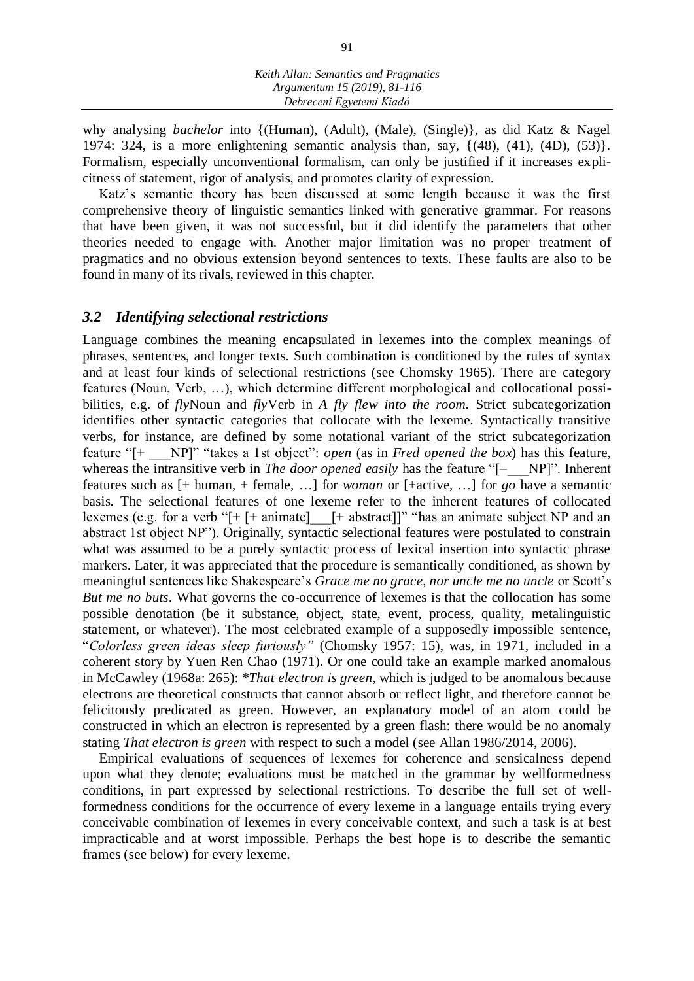why analysing *bachelor* into {(Human), (Adult), (Male), (Single)}, as did Katz & Nagel 1974: 324, is a more enlightening semantic analysis than, say, {(48), (41), (4D), (53)}. Formalism, especially unconventional formalism, can only be justified if it increases explicitness of statement, rigor of analysis, and promotes clarity of expression.

Katz's semantic theory has been discussed at some length because it was the first comprehensive theory of linguistic semantics linked with generative grammar. For reasons that have been given, it was not successful, but it did identify the parameters that other theories needed to engage with. Another major limitation was no proper treatment of pragmatics and no obvious extension beyond sentences to texts. These faults are also to be found in many of its rivals, reviewed in this chapter.

## *3.2 Identifying selectional restrictions*

Language combines the meaning encapsulated in lexemes into the complex meanings of phrases, sentences, and longer texts. Such combination is conditioned by the rules of syntax and at least four kinds of selectional restrictions (see Chomsky 1965). There are category features (Noun, Verb, …), which determine different morphological and collocational possibilities, e.g. of *fly*Noun and *fly*Verb in *A fly flew into the room.* Strict subcategorization identifies other syntactic categories that collocate with the lexeme. Syntactically transitive verbs, for instance, are defined by some notational variant of the strict subcategorization feature "[+ \_\_\_NP]" "takes a 1st object": *open* (as in *Fred opened the box*) has this feature, whereas the intransitive verb in *The door opened easily* has the feature "[- NP]". Inherent features such as [+ human, + female, …] for *woman* or [+active, …] for *go* have a semantic basis. The selectional features of one lexeme refer to the inherent features of collocated lexemes (e.g. for a verb " $[+$  [+ animate]  $[+$  abstract]]" "has an animate subject NP and an abstract 1st object NP"). Originally, syntactic selectional features were postulated to constrain what was assumed to be a purely syntactic process of lexical insertion into syntactic phrase markers. Later, it was appreciated that the procedure is semantically conditioned, as shown by meaningful sentences like Shakespeare's *Grace me no grace, nor uncle me no uncle* or Scott's *But me no buts*. What governs the co-occurrence of lexemes is that the collocation has some possible denotation (be it substance, object, state, event, process, quality, metalinguistic statement, or whatever). The most celebrated example of a supposedly impossible sentence, "*Colorless green ideas sleep furiously"* (Chomsky 1957: 15), was, in 1971, included in a coherent story by Yuen Ren Chao (1971). Or one could take an example marked anomalous in McCawley (1968a: 265): *\*That electron is green*, which is judged to be anomalous because electrons are theoretical constructs that cannot absorb or reflect light, and therefore cannot be felicitously predicated as green. However, an explanatory model of an atom could be constructed in which an electron is represented by a green flash: there would be no anomaly stating *That electron is green* with respect to such a model (see Allan 1986/2014, 2006).

Empirical evaluations of sequences of lexemes for coherence and sensicalness depend upon what they denote; evaluations must be matched in the grammar by wellformedness conditions, in part expressed by selectional restrictions. To describe the full set of wellformedness conditions for the occurrence of every lexeme in a language entails trying every conceivable combination of lexemes in every conceivable context, and such a task is at best impracticable and at worst impossible. Perhaps the best hope is to describe the semantic frames (see below) for every lexeme.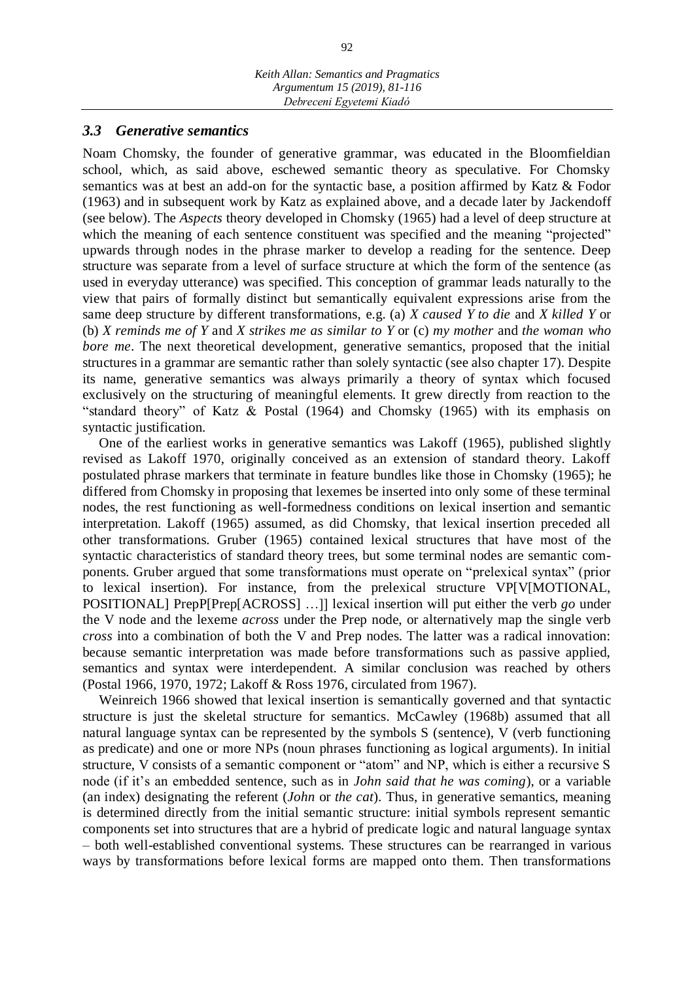#### *3.3 Generative semantics*

Noam Chomsky, the founder of generative grammar, was educated in the Bloomfieldian school, which, as said above, eschewed semantic theory as speculative. For Chomsky semantics was at best an add-on for the syntactic base, a position affirmed by Katz & Fodor (1963) and in subsequent work by Katz as explained above, and a decade later by Jackendoff (see below). The *Aspects* theory developed in Chomsky (1965) had a level of deep structure at which the meaning of each sentence constituent was specified and the meaning "projected" upwards through nodes in the phrase marker to develop a reading for the sentence. Deep structure was separate from a level of surface structure at which the form of the sentence (as used in everyday utterance) was specified. This conception of grammar leads naturally to the view that pairs of formally distinct but semantically equivalent expressions arise from the same deep structure by different transformations, e.g. (a) *X caused Y to die* and *X killed Y* or (b) *X reminds me of Y* and *X strikes me as similar to Y* or (c) *my mother* and *the woman who bore me*. The next theoretical development, generative semantics, proposed that the initial structures in a grammar are semantic rather than solely syntactic (see also chapter 17). Despite its name, generative semantics was always primarily a theory of syntax which focused exclusively on the structuring of meaningful elements. It grew directly from reaction to the "standard theory" of Katz & Postal (1964) and Chomsky (1965) with its emphasis on syntactic justification.

One of the earliest works in generative semantics was Lakoff (1965), published slightly revised as Lakoff 1970, originally conceived as an extension of standard theory. Lakoff postulated phrase markers that terminate in feature bundles like those in Chomsky (1965); he differed from Chomsky in proposing that lexemes be inserted into only some of these terminal nodes, the rest functioning as well-formedness conditions on lexical insertion and semantic interpretation. Lakoff (1965) assumed, as did Chomsky, that lexical insertion preceded all other transformations. Gruber (1965) contained lexical structures that have most of the syntactic characteristics of standard theory trees, but some terminal nodes are semantic components. Gruber argued that some transformations must operate on "prelexical syntax" (prior to lexical insertion). For instance, from the prelexical structure VP[V[MOTIONAL, POSITIONAL] PrepP[Prep[ACROSS] …]] lexical insertion will put either the verb *go* under the V node and the lexeme *across* under the Prep node, or alternatively map the single verb *cross* into a combination of both the V and Prep nodes. The latter was a radical innovation: because semantic interpretation was made before transformations such as passive applied, semantics and syntax were interdependent. A similar conclusion was reached by others (Postal 1966, 1970, 1972; Lakoff & Ross 1976, circulated from 1967).

Weinreich 1966 showed that lexical insertion is semantically governed and that syntactic structure is just the skeletal structure for semantics. McCawley (1968b) assumed that all natural language syntax can be represented by the symbols S (sentence), V (verb functioning as predicate) and one or more NPs (noun phrases functioning as logical arguments). In initial structure, V consists of a semantic component or "atom" and NP, which is either a recursive S node (if it's an embedded sentence, such as in *John said that he was coming*), or a variable (an index) designating the referent (*John* or *the cat*). Thus, in generative semantics, meaning is determined directly from the initial semantic structure: initial symbols represent semantic components set into structures that are a hybrid of predicate logic and natural language syntax – both well-established conventional systems. These structures can be rearranged in various ways by transformations before lexical forms are mapped onto them. Then transformations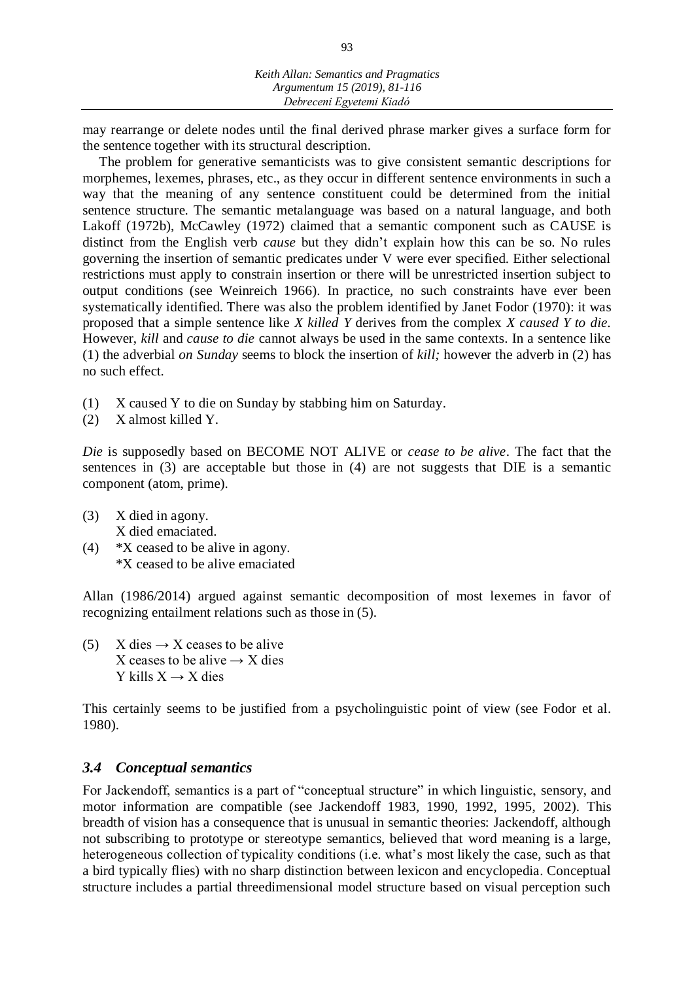may rearrange or delete nodes until the final derived phrase marker gives a surface form for the sentence together with its structural description.

The problem for generative semanticists was to give consistent semantic descriptions for morphemes, lexemes, phrases, etc., as they occur in different sentence environments in such a way that the meaning of any sentence constituent could be determined from the initial sentence structure. The semantic metalanguage was based on a natural language, and both Lakoff (1972b), McCawley (1972) claimed that a semantic component such as CAUSE is distinct from the English verb *cause* but they didn't explain how this can be so. No rules governing the insertion of semantic predicates under V were ever specified. Either selectional restrictions must apply to constrain insertion or there will be unrestricted insertion subject to output conditions (see Weinreich 1966). In practice, no such constraints have ever been systematically identified. There was also the problem identified by Janet Fodor (1970): it was proposed that a simple sentence like *X killed Y* derives from the complex *X caused Y to die.*  However, *kill* and *cause to die* cannot always be used in the same contexts. In a sentence like (1) the adverbial *on Sunday* seems to block the insertion of *kill;* however the adverb in (2) has no such effect.

- (1) X caused Y to die on Sunday by stabbing him on Saturday.
- (2) X almost killed Y.

*Die* is supposedly based on BECOME NOT ALIVE or *cease to be alive*. The fact that the sentences in (3) are acceptable but those in (4) are not suggests that DIE is a semantic component (atom, prime).

- (3) X died in agony. X died emaciated.
- (4) \*X ceased to be alive in agony. \*X ceased to be alive emaciated

Allan (1986/2014) argued against semantic decomposition of most lexemes in favor of recognizing entailment relations such as those in (5).

(5) X dies  $\rightarrow X$  ceases to be alive X ceases to be alive  $\rightarrow X$  dies Y kills  $X \rightarrow X$  dies

This certainly seems to be justified from a psycholinguistic point of view (see Fodor et al. 1980).

#### *3.4 Conceptual semantics*

For Jackendoff, semantics is a part of "conceptual structure" in which linguistic, sensory, and motor information are compatible (see Jackendoff 1983, 1990, 1992, 1995, 2002). This breadth of vision has a consequence that is unusual in semantic theories: Jackendoff, although not subscribing to prototype or stereotype semantics, believed that word meaning is a large, heterogeneous collection of typicality conditions (i.e. what's most likely the case, such as that a bird typically flies) with no sharp distinction between lexicon and encyclopedia. Conceptual structure includes a partial threedimensional model structure based on visual perception such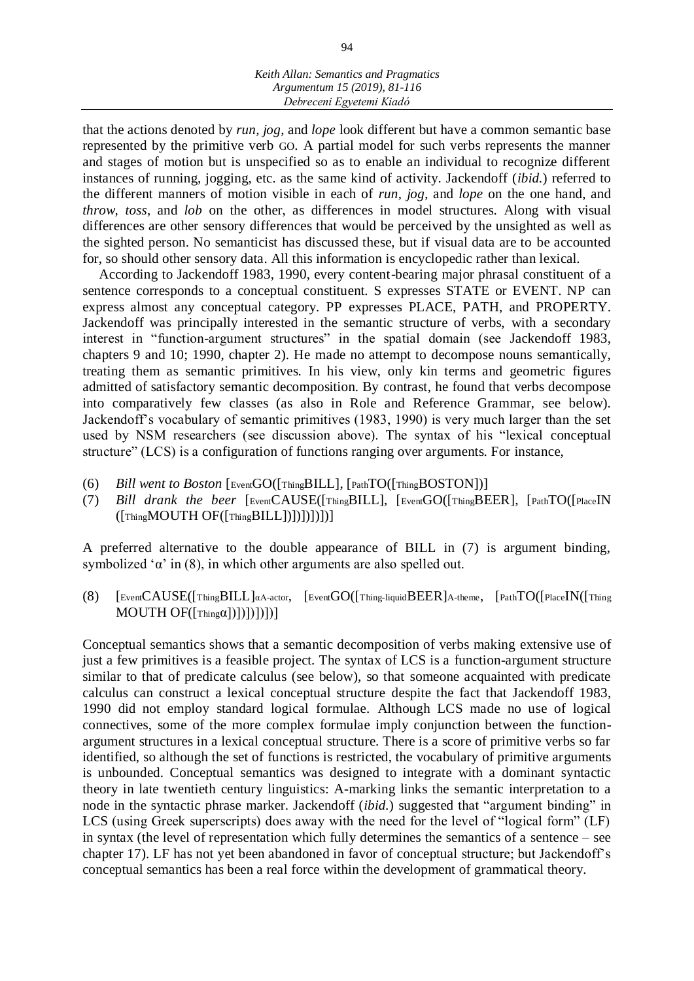that the actions denoted by *run, jog*, and *lope* look different but have a common semantic base represented by the primitive verb GO. A partial model for such verbs represents the manner and stages of motion but is unspecified so as to enable an individual to recognize different instances of running, jogging, etc. as the same kind of activity. Jackendoff (*ibid.*) referred to the different manners of motion visible in each of *run, jog*, and *lope* on the one hand, and *throw, toss*, and *lob* on the other, as differences in model structures. Along with visual differences are other sensory differences that would be perceived by the unsighted as well as the sighted person. No semanticist has discussed these, but if visual data are to be accounted for, so should other sensory data. All this information is encyclopedic rather than lexical.

According to Jackendoff 1983, 1990, every content-bearing major phrasal constituent of a sentence corresponds to a conceptual constituent. S expresses STATE or EVENT. NP can express almost any conceptual category. PP expresses PLACE, PATH, and PROPERTY. Jackendoff was principally interested in the semantic structure of verbs, with a secondary interest in "function-argument structures" in the spatial domain (see Jackendoff 1983, chapters 9 and 10; 1990, chapter 2). He made no attempt to decompose nouns semantically, treating them as semantic primitives. In his view, only kin terms and geometric figures admitted of satisfactory semantic decomposition. By contrast, he found that verbs decompose into comparatively few classes (as also in Role and Reference Grammar, see below). Jackendoff's vocabulary of semantic primitives (1983, 1990) is very much larger than the set used by NSM researchers (see discussion above). The syntax of his "lexical conceptual structure" (LCS) is a configuration of functions ranging over arguments. For instance,

- (6) *Bill went to Boston* [EventGO([ThingBILL], [PathTO([ThingBOSTON])]
- (7) *Bill drank the beer* [EventCAUSE([ThingBILL], [EventGO([ThingBEER], [PathTO([PlaceIN  $([This MOUTH OF([This BILL]))])])$ ]

A preferred alternative to the double appearance of BILL in (7) is argument binding, symbolized ' $\alpha$ ' in (8), in which other arguments are also spelled out.

(8) [EventCAUSE([ThingBILL]αA-actor, [EventGO([Thing-liquidBEER]A-theme, [PathTO([PlaceIN([Thing MOUTH  $OF([Thing\alpha])|)]|]$ ]

Conceptual semantics shows that a semantic decomposition of verbs making extensive use of just a few primitives is a feasible project. The syntax of LCS is a function-argument structure similar to that of predicate calculus (see below), so that someone acquainted with predicate calculus can construct a lexical conceptual structure despite the fact that Jackendoff 1983, 1990 did not employ standard logical formulae. Although LCS made no use of logical connectives, some of the more complex formulae imply conjunction between the functionargument structures in a lexical conceptual structure. There is a score of primitive verbs so far identified, so although the set of functions is restricted, the vocabulary of primitive arguments is unbounded. Conceptual semantics was designed to integrate with a dominant syntactic theory in late twentieth century linguistics: A-marking links the semantic interpretation to a node in the syntactic phrase marker. Jackendoff (*ibid.*) suggested that "argument binding" in LCS (using Greek superscripts) does away with the need for the level of "logical form" (LF) in syntax (the level of representation which fully determines the semantics of a sentence – see chapter 17). LF has not yet been abandoned in favor of conceptual structure; but Jackendoff's conceptual semantics has been a real force within the development of grammatical theory.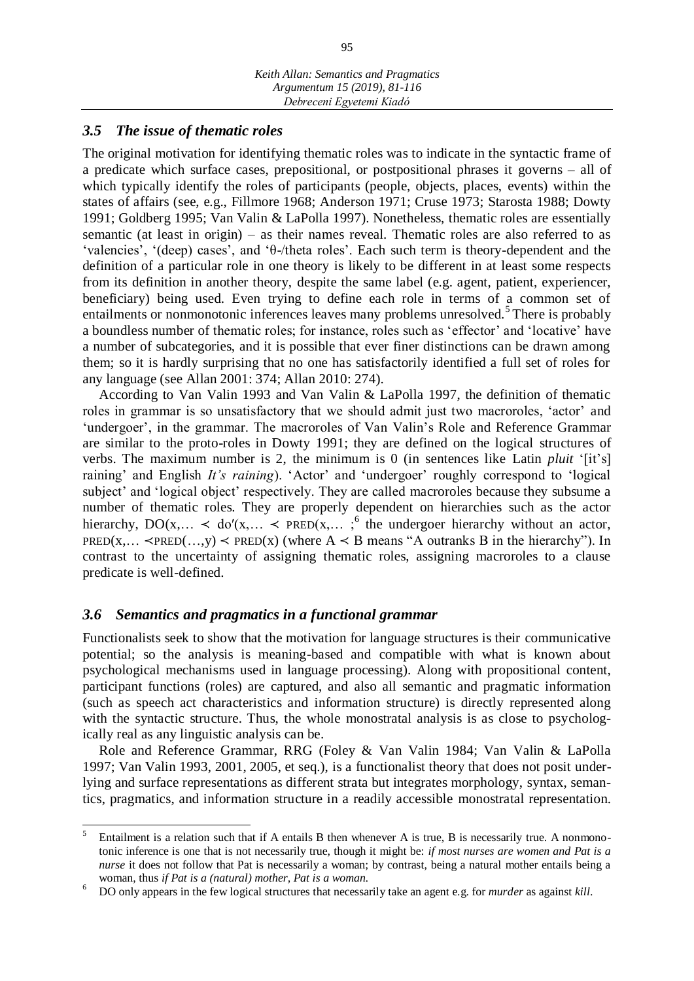#### *3.5 The issue of thematic roles*

The original motivation for identifying thematic roles was to indicate in the syntactic frame of a predicate which surface cases, prepositional, or postpositional phrases it governs – all of which typically identify the roles of participants (people, objects, places, events) within the states of affairs (see, e.g., Fillmore 1968; Anderson 1971; Cruse 1973; Starosta 1988; Dowty 1991; Goldberg 1995; Van Valin & LaPolla 1997). Nonetheless, thematic roles are essentially semantic (at least in origin) – as their names reveal. Thematic roles are also referred to as 'valencies', '(deep) cases', and 'θ-/theta roles'. Each such term is theory-dependent and the definition of a particular role in one theory is likely to be different in at least some respects from its definition in another theory, despite the same label (e.g. agent, patient, experiencer, beneficiary) being used. Even trying to define each role in terms of a common set of entailments or nonmonotonic inferences leaves many problems unresolved.<sup>5</sup> There is probably a boundless number of thematic roles; for instance, roles such as 'effector' and 'locative' have a number of subcategories, and it is possible that ever finer distinctions can be drawn among them; so it is hardly surprising that no one has satisfactorily identified a full set of roles for any language (see Allan 2001: 374; Allan 2010: 274).

According to Van Valin 1993 and Van Valin & LaPolla 1997, the definition of thematic roles in grammar is so unsatisfactory that we should admit just two macroroles, 'actor' and 'undergoer', in the grammar. The macroroles of Van Valin's Role and Reference Grammar are similar to the proto-roles in Dowty 1991; they are defined on the logical structures of verbs. The maximum number is 2, the minimum is 0 (in sentences like Latin *pluit* '[it's] raining' and English *It's raining*). 'Actor' and 'undergoer' roughly correspond to 'logical subject' and 'logical object' respectively. They are called macroroles because they subsume a number of thematic roles. They are properly dependent on hierarchies such as the actor hierarchy,  $DO(x,... < do'(x,... < PRED(x,...;$ <sup>6</sup> the undergoer hierarchy without an actor, PRED(x,...  $\prec$ PRED(...,y)  $\prec$  PRED(x) (where A  $\prec$  B means "A outranks B in the hierarchy"). In contrast to the uncertainty of assigning thematic roles, assigning macroroles to a clause predicate is well-defined.

#### *3.6 Semantics and pragmatics in a functional grammar*

Functionalists seek to show that the motivation for language structures is their communicative potential; so the analysis is meaning-based and compatible with what is known about psychological mechanisms used in language processing). Along with propositional content, participant functions (roles) are captured, and also all semantic and pragmatic information (such as speech act characteristics and information structure) is directly represented along with the syntactic structure. Thus, the whole monostratal analysis is as close to psychologically real as any linguistic analysis can be.

Role and Reference Grammar, RRG (Foley & Van Valin 1984; Van Valin & LaPolla 1997; Van Valin 1993, 2001, 2005, et seq.), is a functionalist theory that does not posit underlying and surface representations as different strata but integrates morphology, syntax, semantics, pragmatics, and information structure in a readily accessible monostratal representation.

 5 Entailment is a relation such that if A entails B then whenever A is true, B is necessarily true. A nonmonotonic inference is one that is not necessarily true, though it might be: *if most nurses are women and Pat is a nurse* it does not follow that Pat is necessarily a woman; by contrast, being a natural mother entails being a woman, thus *if Pat is a (natural) mother, Pat is a woman.*

<sup>6</sup> DO only appears in the few logical structures that necessarily take an agent e.g. for *murder* as against *kill*.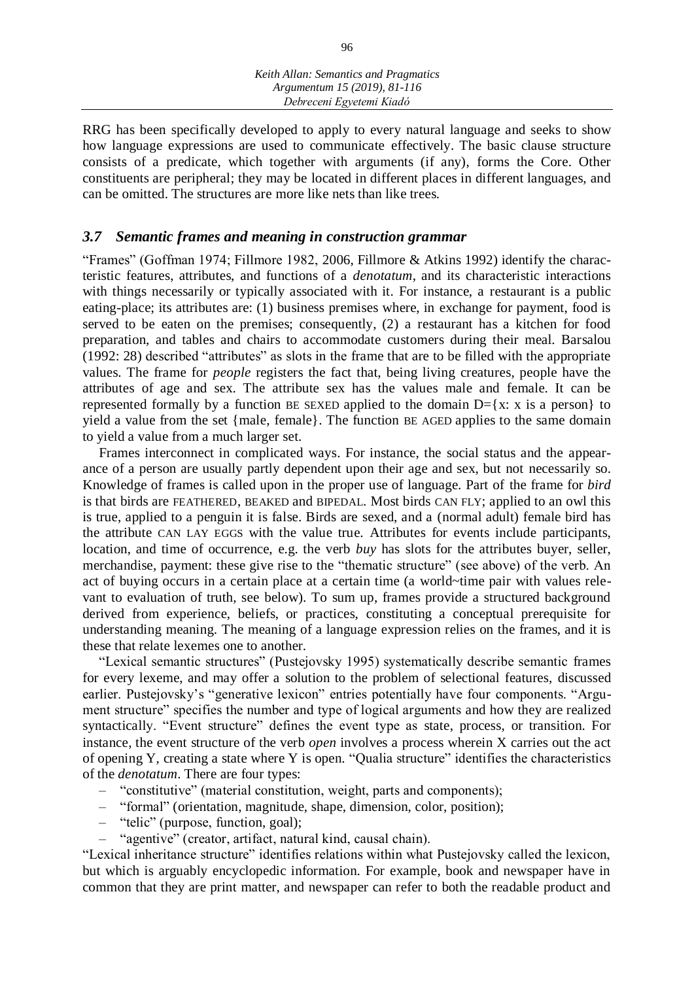RRG has been specifically developed to apply to every natural language and seeks to show how language expressions are used to communicate effectively. The basic clause structure consists of a predicate, which together with arguments (if any), forms the Core. Other constituents are peripheral; they may be located in different places in different languages, and can be omitted. The structures are more like nets than like trees.

## *3.7 Semantic frames and meaning in construction grammar*

"Frames" (Goffman 1974; Fillmore 1982, 2006, Fillmore & Atkins 1992) identify the characteristic features, attributes, and functions of a *denotatum*, and its characteristic interactions with things necessarily or typically associated with it. For instance, a restaurant is a public eating-place; its attributes are: (1) business premises where, in exchange for payment, food is served to be eaten on the premises; consequently, (2) a restaurant has a kitchen for food preparation, and tables and chairs to accommodate customers during their meal. Barsalou (1992: 28) described "attributes" as slots in the frame that are to be filled with the appropriate values. The frame for *people* registers the fact that, being living creatures, people have the attributes of age and sex. The attribute sex has the values male and female. It can be represented formally by a function BE SEXED applied to the domain  $D=\{x: x \text{ is a person}\}\)$  to yield a value from the set {male, female}. The function BE AGED applies to the same domain to yield a value from a much larger set.

Frames interconnect in complicated ways. For instance, the social status and the appearance of a person are usually partly dependent upon their age and sex, but not necessarily so. Knowledge of frames is called upon in the proper use of language. Part of the frame for *bird*  is that birds are FEATHERED, BEAKED and BIPEDAL. Most birds CAN FLY; applied to an owl this is true, applied to a penguin it is false. Birds are sexed, and a (normal adult) female bird has the attribute CAN LAY EGGS with the value true. Attributes for events include participants, location, and time of occurrence, e.g. the verb *buy* has slots for the attributes buyer, seller, merchandise, payment: these give rise to the "thematic structure" (see above) of the verb. An act of buying occurs in a certain place at a certain time (a world~time pair with values relevant to evaluation of truth, see below). To sum up, frames provide a structured background derived from experience, beliefs, or practices, constituting a conceptual prerequisite for understanding meaning. The meaning of a language expression relies on the frames, and it is these that relate lexemes one to another.

"Lexical semantic structures" (Pustejovsky 1995) systematically describe semantic frames for every lexeme, and may offer a solution to the problem of selectional features, discussed earlier. Pustejovsky's "generative lexicon" entries potentially have four components. "Argument structure" specifies the number and type of logical arguments and how they are realized syntactically. "Event structure" defines the event type as state, process, or transition. For instance, the event structure of the verb *open* involves a process wherein X carries out the act of opening Y, creating a state where Y is open. "Qualia structure" identifies the characteristics of the *denotatum*. There are four types:

- "constitutive" (material constitution, weight, parts and components);
- "formal" (orientation, magnitude, shape, dimension, color, position);
- "telic" (purpose, function, goal);
- "agentive" (creator, artifact, natural kind, causal chain).

"Lexical inheritance structure" identifies relations within what Pustejovsky called the lexicon, but which is arguably encyclopedic information. For example, book and newspaper have in common that they are print matter, and newspaper can refer to both the readable product and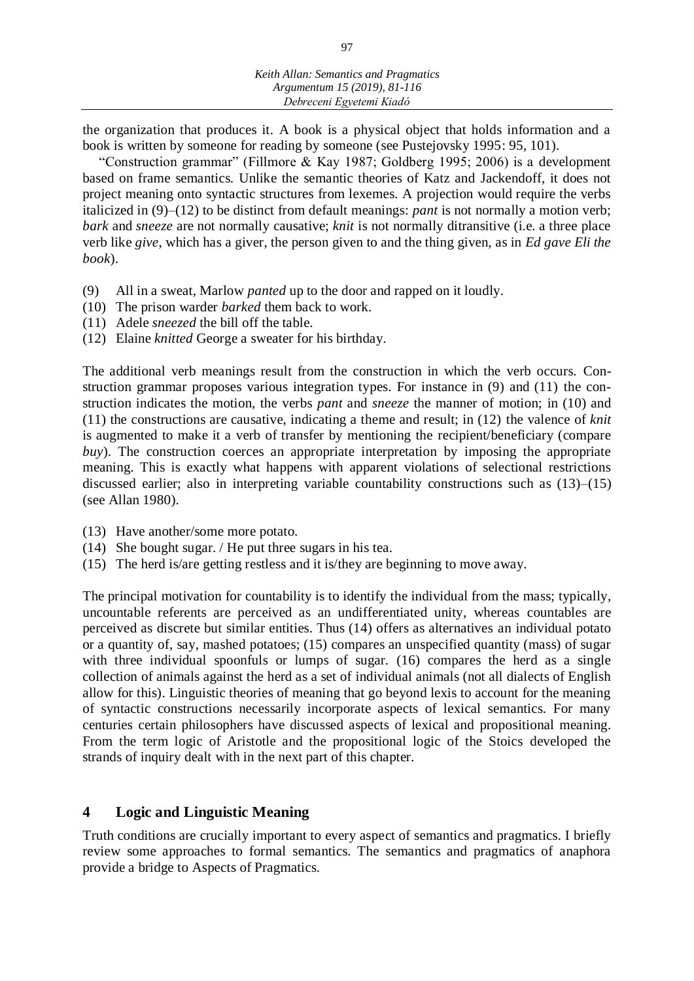the organization that produces it. A book is a physical object that holds information and a book is written by someone for reading by someone (see Pustejovsky 1995: 95, 101).

"Construction grammar" (Fillmore & Kay 1987; Goldberg 1995; 2006) is a development based on frame semantics. Unlike the semantic theories of Katz and Jackendoff, it does not project meaning onto syntactic structures from lexemes. A projection would require the verbs italicized in (9)–(12) to be distinct from default meanings: *pant* is not normally a motion verb; *bark* and *sneeze* are not normally causative; *knit* is not normally ditransitive (i.e. a three place verb like *give*, which has a giver, the person given to and the thing given, as in *Ed gave Eli the book*).

- (9) All in a sweat, Marlow *panted* up to the door and rapped on it loudly.
- (10) The prison warder *barked* them back to work.
- (11) Adele *sneezed* the bill off the table.
- (12) Elaine *knitted* George a sweater for his birthday.

The additional verb meanings result from the construction in which the verb occurs. Construction grammar proposes various integration types. For instance in (9) and (11) the construction indicates the motion, the verbs *pant* and *sneeze* the manner of motion; in (10) and (11) the constructions are causative, indicating a theme and result; in (12) the valence of *knit*  is augmented to make it a verb of transfer by mentioning the recipient/beneficiary (compare *buy*). The construction coerces an appropriate interpretation by imposing the appropriate meaning. This is exactly what happens with apparent violations of selectional restrictions discussed earlier; also in interpreting variable countability constructions such as (13)–(15) (see Allan 1980).

- (13) Have another/some more potato.
- (14) She bought sugar. / He put three sugars in his tea.
- (15) The herd is/are getting restless and it is/they are beginning to move away.

The principal motivation for countability is to identify the individual from the mass; typically, uncountable referents are perceived as an undifferentiated unity, whereas countables are perceived as discrete but similar entities. Thus (14) offers as alternatives an individual potato or a quantity of, say, mashed potatoes; (15) compares an unspecified quantity (mass) of sugar with three individual spoonfuls or lumps of sugar. (16) compares the herd as a single collection of animals against the herd as a set of individual animals (not all dialects of English allow for this). Linguistic theories of meaning that go beyond lexis to account for the meaning of syntactic constructions necessarily incorporate aspects of lexical semantics. For many centuries certain philosophers have discussed aspects of lexical and propositional meaning. From the term logic of Aristotle and the propositional logic of the Stoics developed the strands of inquiry dealt with in the next part of this chapter.

#### **4 Logic and Linguistic Meaning**

Truth conditions are crucially important to every aspect of semantics and pragmatics. I briefly review some approaches to formal semantics. The semantics and pragmatics of anaphora provide a bridge to Aspects of Pragmatics.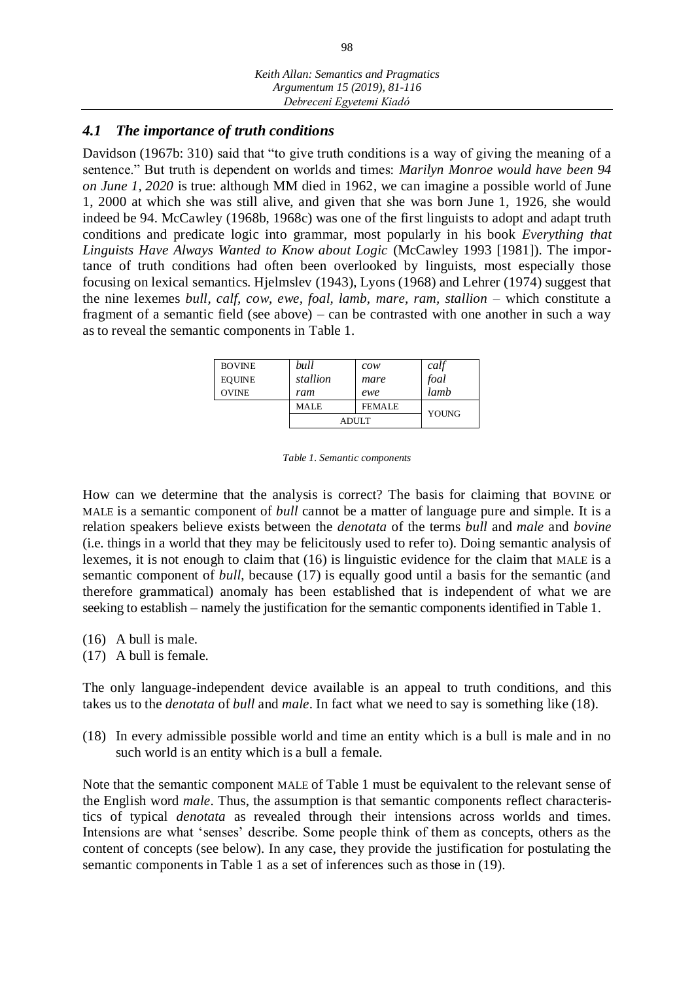## *4.1 The importance of truth conditions*

Davidson (1967b: 310) said that "to give truth conditions is a way of giving the meaning of a sentence." But truth is dependent on worlds and times: *Marilyn Monroe would have been 94 on June 1, 2020* is true: although MM died in 1962, we can imagine a possible world of June 1, 2000 at which she was still alive, and given that she was born June 1, 1926, she would indeed be 94. McCawley (1968b, 1968c) was one of the first linguists to adopt and adapt truth conditions and predicate logic into grammar, most popularly in his book *Everything that Linguists Have Always Wanted to Know about Logic* (McCawley 1993 [1981]). The importance of truth conditions had often been overlooked by linguists, most especially those focusing on lexical semantics. Hjelmslev (1943), Lyons (1968) and Lehrer (1974) suggest that the nine lexemes *bull, calf, cow, ewe, foal, lamb, mare, ram, stallion* – which constitute a fragment of a semantic field (see above) – can be contrasted with one another in such a way as to reveal the semantic components in Table 1.

| <b>BOVINE</b> | bull     | $\mathcal{C} \mathcal{O} \mathcal{W}$ | calf  |
|---------------|----------|---------------------------------------|-------|
| <b>EOUINE</b> | stallion | mare                                  | foal  |
| <b>OVINE</b>  | ram      | ewe                                   | lamb  |
|               | MALE     | <b>FEMALE</b>                         | YOUNG |
|               |          | <b>ADULT</b>                          |       |

*Table 1. Semantic components*

How can we determine that the analysis is correct? The basis for claiming that BOVINE or MALE is a semantic component of *bull* cannot be a matter of language pure and simple. It is a relation speakers believe exists between the *denotata* of the terms *bull* and *male* and *bovine*  (i.e. things in a world that they may be felicitously used to refer to). Doing semantic analysis of lexemes, it is not enough to claim that (16) is linguistic evidence for the claim that MALE is a semantic component of *bull*, because (17) is equally good until a basis for the semantic (and therefore grammatical) anomaly has been established that is independent of what we are seeking to establish – namely the justification for the semantic components identified in Table 1.

- (16) A bull is male.
- (17) A bull is female.

The only language-independent device available is an appeal to truth conditions, and this takes us to the *denotata* of *bull* and *male*. In fact what we need to say is something like (18).

(18) In every admissible possible world and time an entity which is a bull is male and in no such world is an entity which is a bull a female.

Note that the semantic component MALE of Table 1 must be equivalent to the relevant sense of the English word *male*. Thus, the assumption is that semantic components reflect characteristics of typical *denotata* as revealed through their intensions across worlds and times. Intensions are what 'senses' describe. Some people think of them as concepts, others as the content of concepts (see below). In any case, they provide the justification for postulating the semantic components in Table 1 as a set of inferences such as those in (19).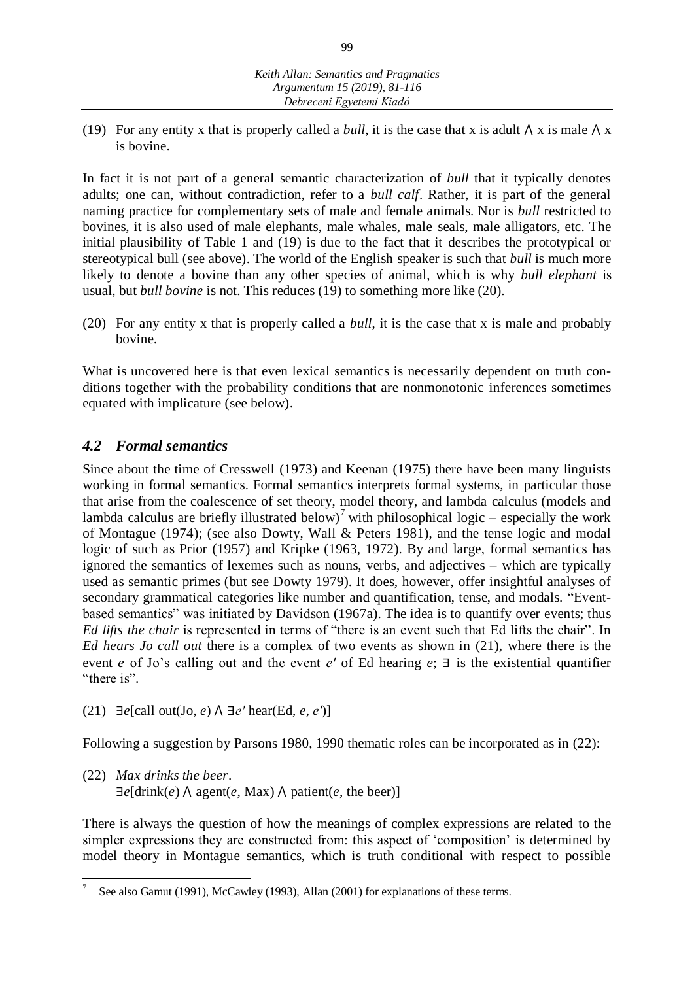(19) For any entity x that is properly called a *bull*, it is the case that x is adult  $\Lambda$  x is male  $\Lambda$  x is bovine.

In fact it is not part of a general semantic characterization of *bull* that it typically denotes adults; one can, without contradiction, refer to a *bull calf*. Rather, it is part of the general naming practice for complementary sets of male and female animals. Nor is *bull* restricted to bovines, it is also used of male elephants, male whales, male seals, male alligators, etc. The initial plausibility of Table 1 and (19) is due to the fact that it describes the prototypical or stereotypical bull (see above). The world of the English speaker is such that *bull* is much more likely to denote a bovine than any other species of animal, which is why *bull elephant* is usual, but *bull bovine* is not. This reduces (19) to something more like (20).

(20) For any entity x that is properly called a *bull*, it is the case that x is male and probably bovine.

What is uncovered here is that even lexical semantics is necessarily dependent on truth conditions together with the probability conditions that are nonmonotonic inferences sometimes equated with implicature (see below).

## *4.2 Formal semantics*

Since about the time of Cresswell (1973) and Keenan (1975) there have been many linguists working in formal semantics. Formal semantics interprets formal systems, in particular those that arise from the coalescence of set theory, model theory, and lambda calculus (models and lambda calculus are briefly illustrated below)<sup>7</sup> with philosophical logic – especially the work of Montague (1974); (see also Dowty, Wall & Peters 1981), and the tense logic and modal logic of such as Prior (1957) and Kripke (1963, 1972). By and large, formal semantics has ignored the semantics of lexemes such as nouns, verbs, and adjectives – which are typically used as semantic primes (but see Dowty 1979). It does, however, offer insightful analyses of secondary grammatical categories like number and quantification, tense, and modals. "Eventbased semantics" was initiated by Davidson (1967a). The idea is to quantify over events; thus *Ed lifts the chair* is represented in terms of "there is an event such that Ed lifts the chair". In *Ed hears Jo call out* there is a complex of two events as shown in (21), where there is the event *e* of Jo's calling out and the event *e′* of Ed hearing *e*; ∃ is the existential quantifier "there is".

(21)  $∃e[call out(Jo, e) ∧ ∃e' hear(Ed, e, e')]$ 

Following a suggestion by Parsons 1980, 1990 thematic roles can be incorporated as in (22):

(22) *Max drinks the beer*.  $\exists e$ [drink(*e*)  $\land$  agent(*e*, Max)  $\land$  patient(*e*, the beer)]

There is always the question of how the meanings of complex expressions are related to the simpler expressions they are constructed from: this aspect of 'composition' is determined by model theory in Montague semantics, which is truth conditional with respect to possible

 7 See also Gamut (1991), McCawley (1993), Allan (2001) for explanations of these terms.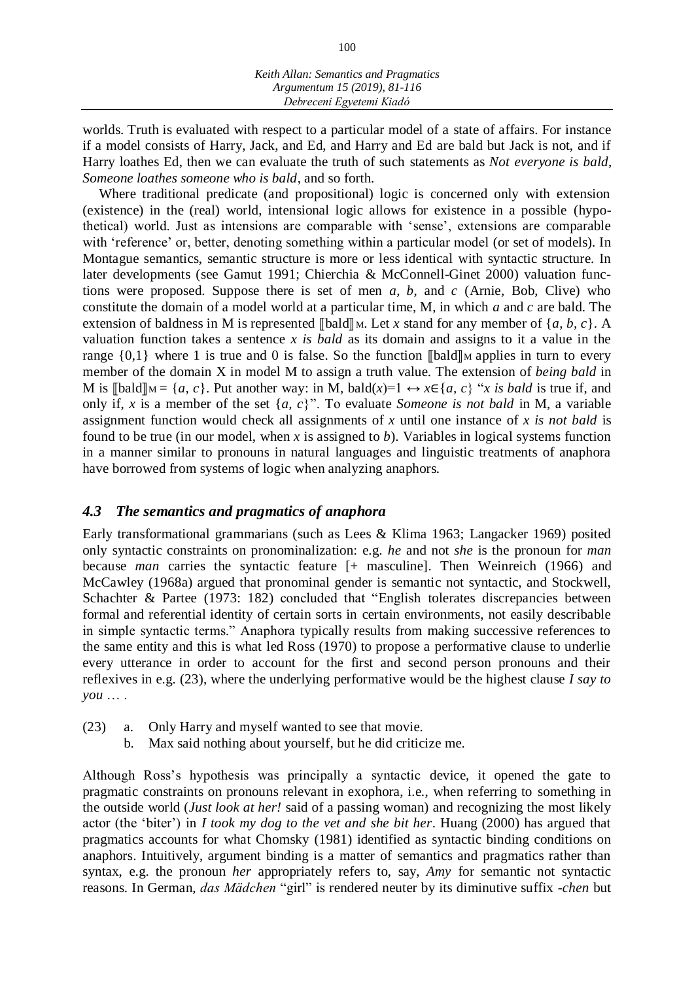worlds. Truth is evaluated with respect to a particular model of a state of affairs. For instance if a model consists of Harry, Jack, and Ed, and Harry and Ed are bald but Jack is not, and if Harry loathes Ed, then we can evaluate the truth of such statements as *Not everyone is bald, Someone loathes someone who is bald*, and so forth.

Where traditional predicate (and propositional) logic is concerned only with extension (existence) in the (real) world, intensional logic allows for existence in a possible (hypothetical) world. Just as intensions are comparable with 'sense', extensions are comparable with 'reference' or, better, denoting something within a particular model (or set of models). In Montague semantics, semantic structure is more or less identical with syntactic structure. In later developments (see Gamut 1991; Chierchia & McConnell-Ginet 2000) valuation functions were proposed. Suppose there is set of men *a, b*, and *c* (Arnie, Bob, Clive) who constitute the domain of a model world at a particular time, M, in which *a* and *c* are bald. The extension of baldness in M is represented  $\llbracket \text{bad} \rrbracket$  M. Let *x* stand for any member of  $\{a, b, c\}$ . A valuation function takes a sentence *x is bald* as its domain and assigns to it a value in the range  $\{0,1\}$  where 1 is true and 0 is false. So the function  $\llbracket \text{bad} \rrbracket$  applies in turn to every member of the domain X in model M to assign a truth value. The extension of *being bald* in M is  $\llbracket \text{bad} \rrbracket = \{a, c\}$ . Put another way: in M, bald(*x*)=1  $\leftrightarrow$  *x*∈{*a, c*} "*x is bald* is true if, and only if, *x* is a member of the set {*a, c*}". To evaluate *Someone is not bald* in M, a variable assignment function would check all assignments of *x* until one instance of *x is not bald* is found to be true (in our model, when *x* is assigned to *b*). Variables in logical systems function in a manner similar to pronouns in natural languages and linguistic treatments of anaphora have borrowed from systems of logic when analyzing anaphors.

## *4.3 The semantics and pragmatics of anaphora*

Early transformational grammarians (such as Lees & Klima 1963; Langacker 1969) posited only syntactic constraints on pronominalization: e.g. *he* and not *she* is the pronoun for *man*  because *man* carries the syntactic feature [+ masculine]. Then Weinreich (1966) and McCawley (1968a) argued that pronominal gender is semantic not syntactic, and Stockwell, Schachter & Partee (1973: 182) concluded that "English tolerates discrepancies between formal and referential identity of certain sorts in certain environments, not easily describable in simple syntactic terms." Anaphora typically results from making successive references to the same entity and this is what led Ross (1970) to propose a performative clause to underlie every utterance in order to account for the first and second person pronouns and their reflexives in e.g. (23), where the underlying performative would be the highest clause *I say to you* … .

- (23) a. Only Harry and myself wanted to see that movie.
	- b. Max said nothing about yourself, but he did criticize me.

Although Ross's hypothesis was principally a syntactic device, it opened the gate to pragmatic constraints on pronouns relevant in exophora, i.e., when referring to something in the outside world (*Just look at her!* said of a passing woman) and recognizing the most likely actor (the 'biter') in *I took my dog to the vet and she bit her*. Huang (2000) has argued that pragmatics accounts for what Chomsky (1981) identified as syntactic binding conditions on anaphors. Intuitively, argument binding is a matter of semantics and pragmatics rather than syntax, e.g. the pronoun *her* appropriately refers to, say, *Amy* for semantic not syntactic reasons. In German, *das Mädchen* "girl" is rendered neuter by its diminutive suffix *-chen* but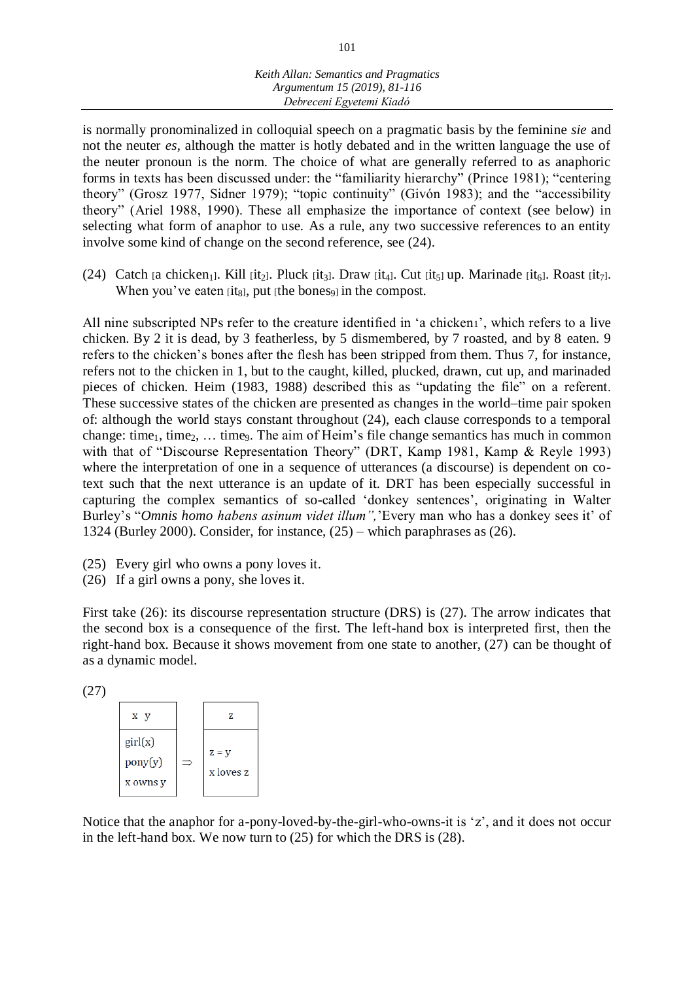is normally pronominalized in colloquial speech on a pragmatic basis by the feminine *sie* and not the neuter *es*, although the matter is hotly debated and in the written language the use of the neuter pronoun is the norm. The choice of what are generally referred to as anaphoric forms in texts has been discussed under: the "familiarity hierarchy" (Prince 1981); "centering theory" (Grosz 1977, Sidner 1979); "topic continuity" (Givón 1983); and the "accessibility theory" (Ariel 1988, 1990). These all emphasize the importance of context (see below) in selecting what form of anaphor to use. As a rule, any two successive references to an entity involve some kind of change on the second reference, see (24).

(24) Catch [a chicken<sub>1</sub>]. Kill [it<sub>2</sub>]. Pluck [it<sub>3</sub>]. Draw [it<sub>4</sub>]. Cut [it<sub>5</sub>] up. Marinade [it<sub>6</sub>]. Roast [it<sub>7</sub>]. When you've eaten  $[it_8]$ , put  $[the bones_9]$  in the compost.

All nine subscripted NPs refer to the creature identified in 'a chicken1', which refers to a live chicken. By 2 it is dead, by 3 featherless, by 5 dismembered, by 7 roasted, and by 8 eaten. 9 refers to the chicken's bones after the flesh has been stripped from them. Thus 7, for instance, refers not to the chicken in 1, but to the caught, killed, plucked, drawn, cut up, and marinaded pieces of chicken. Heim (1983, 1988) described this as "updating the file" on a referent. These successive states of the chicken are presented as changes in the world–time pair spoken of: although the world stays constant throughout (24), each clause corresponds to a temporal change: time<sub>1</sub>, time<sub>2</sub>, ... time<sub>9</sub>. The aim of Heim's file change semantics has much in common with that of "Discourse Representation Theory" (DRT, Kamp 1981, Kamp & Reyle 1993) where the interpretation of one in a sequence of utterances (a discourse) is dependent on cotext such that the next utterance is an update of it. DRT has been especially successful in capturing the complex semantics of so-called 'donkey sentences', originating in Walter Burley's "*Omnis homo habens asinum videt illum",*'Every man who has a donkey sees it' of 1324 (Burley 2000). Consider, for instance, (25) – which paraphrases as (26).

- (25) Every girl who owns a pony loves it.
- (26) If a girl owns a pony, she loves it.

First take (26): its discourse representation structure (DRS) is (27). The arrow indicates that the second box is a consequence of the first. The left-hand box is interpreted first, then the right-hand box. Because it shows movement from one state to another, (27) can be thought of as a dynamic model.

(27)

| x y                                              | 7.                   |
|--------------------------------------------------|----------------------|
| $\text{girl}(x)$<br>$\text{pony}(y)$<br>x owns y | $Z = y$<br>x loves z |

Notice that the anaphor for a-pony-loved-by-the-girl-who-owns-it is 'z', and it does not occur in the left-hand box. We now turn to (25) for which the DRS is (28).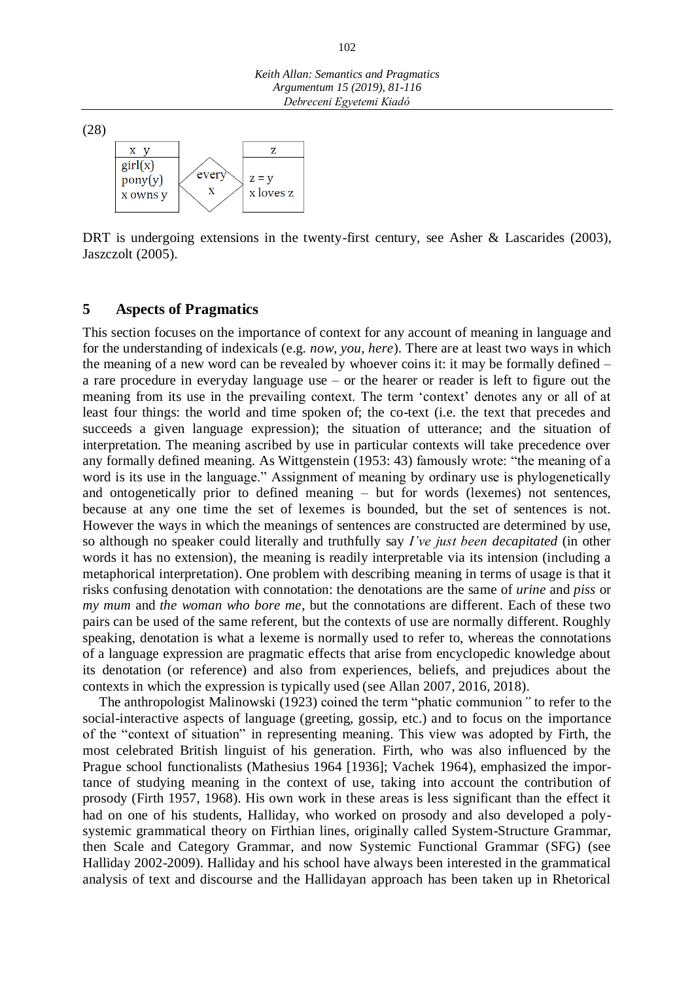

DRT is undergoing extensions in the twenty-first century, see Asher & Lascarides (2003), Jaszczolt (2005).

## **5 Aspects of Pragmatics**

This section focuses on the importance of context for any account of meaning in language and for the understanding of indexicals (e.g. *now, you, here*). There are at least two ways in which the meaning of a new word can be revealed by whoever coins it: it may be formally defined – a rare procedure in everyday language use – or the hearer or reader is left to figure out the meaning from its use in the prevailing context. The term 'context' denotes any or all of at least four things: the world and time spoken of; the co-text (i.e. the text that precedes and succeeds a given language expression); the situation of utterance; and the situation of interpretation. The meaning ascribed by use in particular contexts will take precedence over any formally defined meaning. As Wittgenstein (1953: 43) famously wrote: "the meaning of a word is its use in the language." Assignment of meaning by ordinary use is phylogenetically and ontogenetically prior to defined meaning – but for words (lexemes) not sentences, because at any one time the set of lexemes is bounded, but the set of sentences is not. However the ways in which the meanings of sentences are constructed are determined by use, so although no speaker could literally and truthfully say *I've just been decapitated* (in other words it has no extension), the meaning is readily interpretable via its intension (including a metaphorical interpretation). One problem with describing meaning in terms of usage is that it risks confusing denotation with connotation: the denotations are the same of *urine* and *piss* or *my mum* and *the woman who bore me*, but the connotations are different. Each of these two pairs can be used of the same referent, but the contexts of use are normally different. Roughly speaking, denotation is what a lexeme is normally used to refer to, whereas the connotations of a language expression are pragmatic effects that arise from encyclopedic knowledge about its denotation (or reference) and also from experiences, beliefs, and prejudices about the contexts in which the expression is typically used (see Allan 2007, 2016, 2018).

The anthropologist Malinowski (1923) coined the term "phatic communion*"* to refer to the social-interactive aspects of language (greeting, gossip, etc.) and to focus on the importance of the "context of situation" in representing meaning. This view was adopted by Firth, the most celebrated British linguist of his generation. Firth, who was also influenced by the Prague school functionalists (Mathesius 1964 [1936]; Vachek 1964), emphasized the importance of studying meaning in the context of use, taking into account the contribution of prosody (Firth 1957, 1968). His own work in these areas is less significant than the effect it had on one of his students, Halliday, who worked on prosody and also developed a polysystemic grammatical theory on Firthian lines, originally called System-Structure Grammar, then Scale and Category Grammar, and now Systemic Functional Grammar (SFG) (see Halliday 2002-2009). Halliday and his school have always been interested in the grammatical analysis of text and discourse and the Hallidayan approach has been taken up in Rhetorical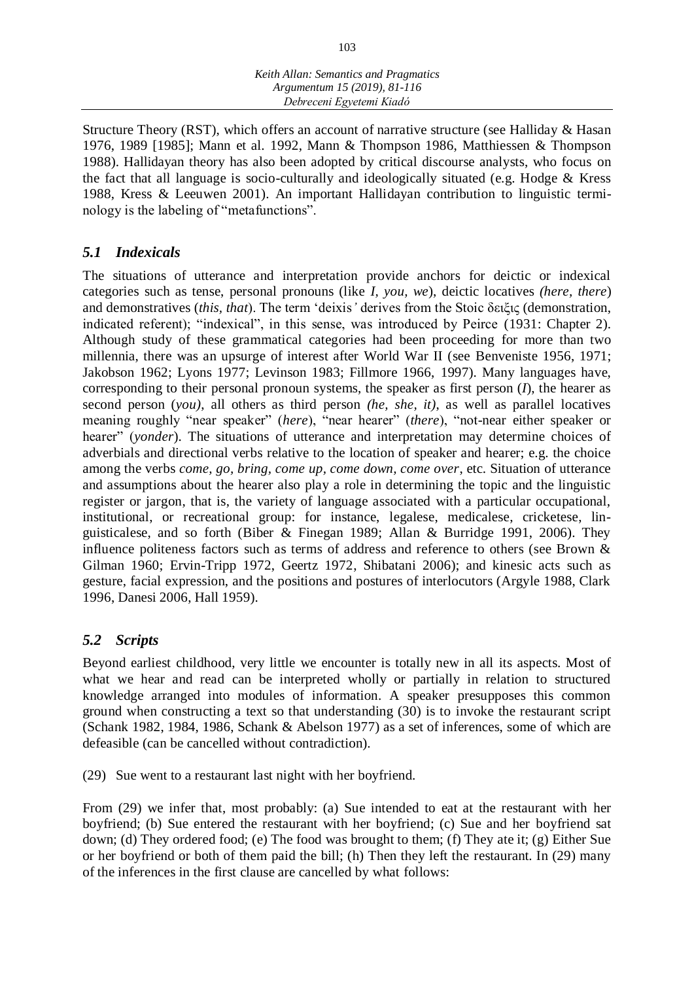Structure Theory (RST), which offers an account of narrative structure (see Halliday & Hasan 1976, 1989 [1985]; Mann et al. 1992, Mann & Thompson 1986, Matthiessen & Thompson 1988). Hallidayan theory has also been adopted by critical discourse analysts, who focus on the fact that all language is socio-culturally and ideologically situated (e.g. Hodge  $&$  Kress 1988, Kress & Leeuwen 2001). An important Hallidayan contribution to linguistic terminology is the labeling of "metafunctions".

# *5.1 Indexicals*

The situations of utterance and interpretation provide anchors for deictic or indexical categories such as tense, personal pronouns (like *I, you, we*), deictic locatives *(here, there*) and demonstratives (*this, that*). The term 'deixis*'* derives from the Stoic δειξις (demonstration, indicated referent); "indexical", in this sense, was introduced by Peirce (1931: Chapter 2). Although study of these grammatical categories had been proceeding for more than two millennia, there was an upsurge of interest after World War II (see Benveniste 1956, 1971; Jakobson 1962; Lyons 1977; Levinson 1983; Fillmore 1966, 1997). Many languages have, corresponding to their personal pronoun systems, the speaker as first person (*I*), the hearer as second person (*you)*, all others as third person *(he, she, it)*, as well as parallel locatives meaning roughly "near speaker" (*here*), "near hearer" (*there*), "not-near either speaker or hearer" (*yonder*). The situations of utterance and interpretation may determine choices of adverbials and directional verbs relative to the location of speaker and hearer; e.g. the choice among the verbs *come, go, bring, come up, come down, come over*, etc. Situation of utterance and assumptions about the hearer also play a role in determining the topic and the linguistic register or jargon, that is, the variety of language associated with a particular occupational, institutional, or recreational group: for instance, legalese, medicalese, cricketese, linguisticalese, and so forth (Biber & Finegan 1989; Allan & Burridge 1991, 2006). They influence politeness factors such as terms of address and reference to others (see Brown & Gilman 1960; Ervin-Tripp 1972, Geertz 1972, Shibatani 2006); and kinesic acts such as gesture, facial expression, and the positions and postures of interlocutors (Argyle 1988, Clark 1996, Danesi 2006, Hall 1959).

# *5.2 Scripts*

Beyond earliest childhood, very little we encounter is totally new in all its aspects. Most of what we hear and read can be interpreted wholly or partially in relation to structured knowledge arranged into modules of information. A speaker presupposes this common ground when constructing a text so that understanding (30) is to invoke the restaurant script (Schank 1982, 1984, 1986, Schank & Abelson 1977) as a set of inferences, some of which are defeasible (can be cancelled without contradiction).

(29) Sue went to a restaurant last night with her boyfriend.

From (29) we infer that, most probably: (a) Sue intended to eat at the restaurant with her boyfriend; (b) Sue entered the restaurant with her boyfriend; (c) Sue and her boyfriend sat down; (d) They ordered food; (e) The food was brought to them; (f) They ate it; (g) Either Sue or her boyfriend or both of them paid the bill; (h) Then they left the restaurant. In (29) many of the inferences in the first clause are cancelled by what follows: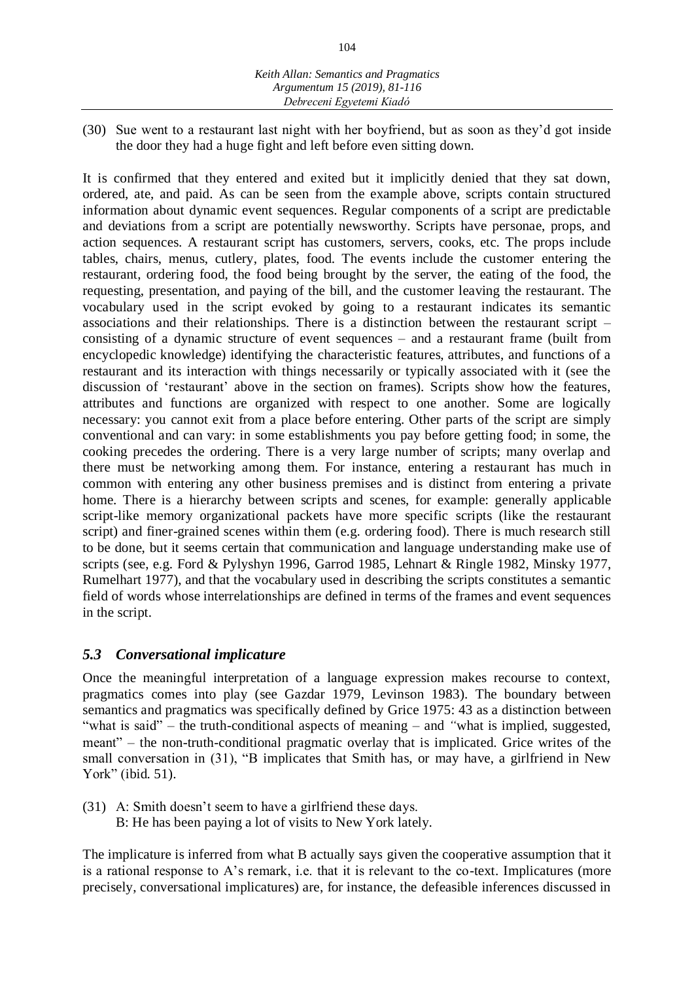(30) Sue went to a restaurant last night with her boyfriend, but as soon as they'd got inside the door they had a huge fight and left before even sitting down.

It is confirmed that they entered and exited but it implicitly denied that they sat down, ordered, ate, and paid. As can be seen from the example above, scripts contain structured information about dynamic event sequences. Regular components of a script are predictable and deviations from a script are potentially newsworthy. Scripts have personae, props, and action sequences. A restaurant script has customers, servers, cooks, etc. The props include tables, chairs, menus, cutlery, plates, food. The events include the customer entering the restaurant, ordering food, the food being brought by the server, the eating of the food, the requesting, presentation, and paying of the bill, and the customer leaving the restaurant. The vocabulary used in the script evoked by going to a restaurant indicates its semantic associations and their relationships. There is a distinction between the restaurant script – consisting of a dynamic structure of event sequences – and a restaurant frame (built from encyclopedic knowledge) identifying the characteristic features, attributes, and functions of a restaurant and its interaction with things necessarily or typically associated with it (see the discussion of 'restaurant' above in the section on frames). Scripts show how the features, attributes and functions are organized with respect to one another. Some are logically necessary: you cannot exit from a place before entering. Other parts of the script are simply conventional and can vary: in some establishments you pay before getting food; in some, the cooking precedes the ordering. There is a very large number of scripts; many overlap and there must be networking among them. For instance, entering a restaurant has much in common with entering any other business premises and is distinct from entering a private home. There is a hierarchy between scripts and scenes, for example: generally applicable script-like memory organizational packets have more specific scripts (like the restaurant script) and finer-grained scenes within them (e.g. ordering food). There is much research still to be done, but it seems certain that communication and language understanding make use of scripts (see, e.g. Ford & Pylyshyn 1996, Garrod 1985, Lehnart & Ringle 1982, Minsky 1977, Rumelhart 1977), and that the vocabulary used in describing the scripts constitutes a semantic field of words whose interrelationships are defined in terms of the frames and event sequences in the script.

## *5.3 Conversational implicature*

Once the meaningful interpretation of a language expression makes recourse to context, pragmatics comes into play (see Gazdar 1979, Levinson 1983). The boundary between semantics and pragmatics was specifically defined by Grice 1975: 43 as a distinction between "what is said" – the truth-conditional aspects of meaning – and *"*what is implied, suggested, meant" – the non-truth-conditional pragmatic overlay that is implicated. Grice writes of the small conversation in (31), "B implicates that Smith has, or may have, a girlfriend in New York" (ibid*.* 51).

- (31) A: Smith doesn't seem to have a girlfriend these days.
	- B: He has been paying a lot of visits to New York lately.

The implicature is inferred from what B actually says given the cooperative assumption that it is a rational response to A's remark, i.e. that it is relevant to the co-text. Implicatures (more precisely, conversational implicatures) are, for instance, the defeasible inferences discussed in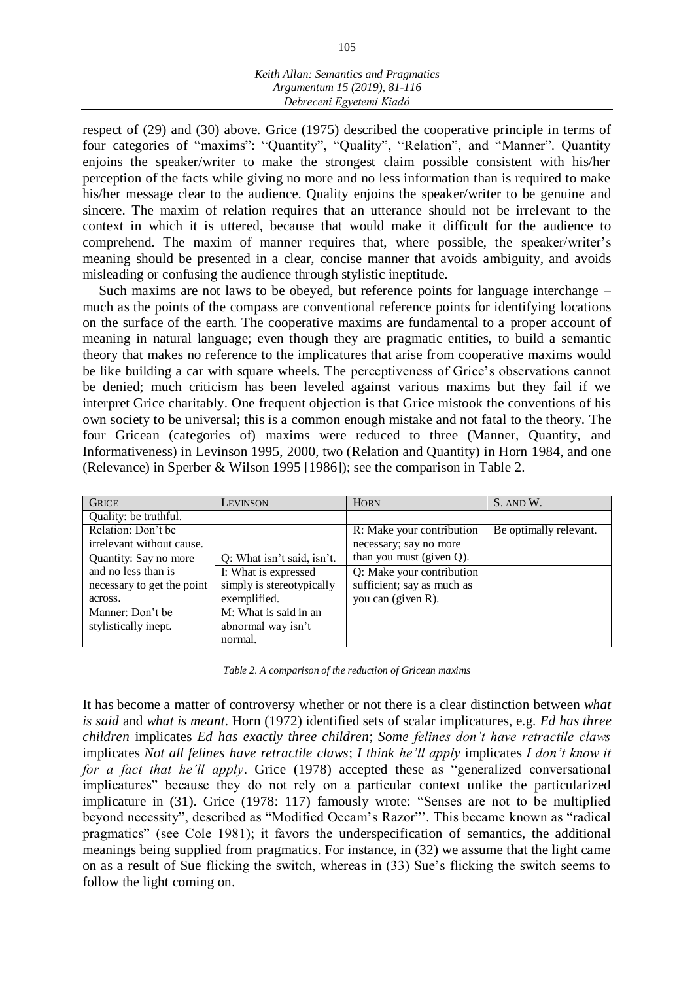respect of (29) and (30) above. Grice (1975) described the cooperative principle in terms of four categories of "maxims": "Quantity", "Quality", "Relation", and "Manner". Quantity enjoins the speaker/writer to make the strongest claim possible consistent with his/her perception of the facts while giving no more and no less information than is required to make his/her message clear to the audience. Quality enjoins the speaker/writer to be genuine and sincere. The maxim of relation requires that an utterance should not be irrelevant to the context in which it is uttered, because that would make it difficult for the audience to comprehend. The maxim of manner requires that, where possible, the speaker/writer's meaning should be presented in a clear, concise manner that avoids ambiguity, and avoids misleading or confusing the audience through stylistic ineptitude.

Such maxims are not laws to be obeyed, but reference points for language interchange – much as the points of the compass are conventional reference points for identifying locations on the surface of the earth. The cooperative maxims are fundamental to a proper account of meaning in natural language; even though they are pragmatic entities, to build a semantic theory that makes no reference to the implicatures that arise from cooperative maxims would be like building a car with square wheels. The perceptiveness of Grice's observations cannot be denied; much criticism has been leveled against various maxims but they fail if we interpret Grice charitably. One frequent objection is that Grice mistook the conventions of his own society to be universal; this is a common enough mistake and not fatal to the theory. The four Gricean (categories of) maxims were reduced to three (Manner, Quantity, and Informativeness) in Levinson 1995, 2000, two (Relation and Quantity) in Horn 1984, and one (Relevance) in Sperber & Wilson 1995 [1986]); see the comparison in Table 2.

| <b>GRICE</b>               | LEVINSON                   | <b>HORN</b>                | S. AND W.              |
|----------------------------|----------------------------|----------------------------|------------------------|
| Quality: be truthful.      |                            |                            |                        |
| Relation: Don't be         |                            | R: Make your contribution  | Be optimally relevant. |
| irrelevant without cause.  |                            | necessary; say no more     |                        |
| Quantity: Say no more      | Q: What isn't said, isn't. | than you must (given Q).   |                        |
| and no less than is        | I: What is expressed       | Q: Make your contribution  |                        |
| necessary to get the point | simply is stereotypically  | sufficient; say as much as |                        |
| across.                    | exemplified.               | you can (given R).         |                        |
| Manner: Don't be           | M: What is said in an      |                            |                        |
| stylistically inept.       | abnormal way isn't         |                            |                        |
|                            | normal.                    |                            |                        |

*Table 2. A comparison of the reduction of Gricean maxims*

It has become a matter of controversy whether or not there is a clear distinction between *what is said* and *what is meant*. Horn (1972) identified sets of scalar implicatures, e.g. *Ed has three children* implicates *Ed has exactly three children*; *Some felines don't have retractile claws*  implicates *Not all felines have retractile claws*; *I think he'll apply* implicates *I don't know it for a fact that he'll apply*. Grice (1978) accepted these as "generalized conversational implicatures" because they do not rely on a particular context unlike the particularized implicature in (31). Grice (1978: 117) famously wrote: "Senses are not to be multiplied beyond necessity", described as "Modified Occam's Razor"'. This became known as "radical pragmatics" (see Cole 1981); it favors the underspecification of semantics, the additional meanings being supplied from pragmatics. For instance, in (32) we assume that the light came on as a result of Sue flicking the switch, whereas in (33) Sue's flicking the switch seems to follow the light coming on.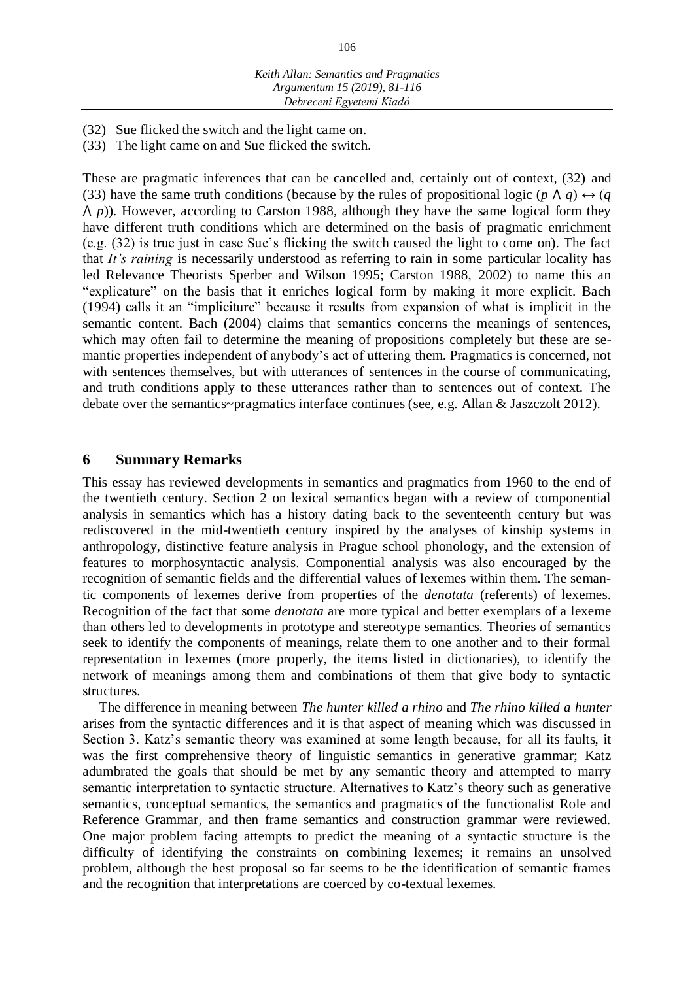(32) Sue flicked the switch and the light came on.

(33) The light came on and Sue flicked the switch.

These are pragmatic inferences that can be cancelled and, certainly out of context, (32) and (33) have the same truth conditions (because by the rules of propositional logic ( $p \land q$ )  $\leftrightarrow$  ( $q$  $\Lambda$  *p*)). However, according to Carston 1988, although they have the same logical form they have different truth conditions which are determined on the basis of pragmatic enrichment (e.g. (32) is true just in case Sue's flicking the switch caused the light to come on). The fact that *It's raining* is necessarily understood as referring to rain in some particular locality has led Relevance Theorists Sperber and Wilson 1995; Carston 1988, 2002) to name this an "explicature" on the basis that it enriches logical form by making it more explicit. Bach (1994) calls it an "impliciture" because it results from expansion of what is implicit in the semantic content. Bach (2004) claims that semantics concerns the meanings of sentences, which may often fail to determine the meaning of propositions completely but these are semantic properties independent of anybody's act of uttering them. Pragmatics is concerned, not with sentences themselves, but with utterances of sentences in the course of communicating, and truth conditions apply to these utterances rather than to sentences out of context. The debate over the semantics~pragmatics interface continues (see, e.g. Allan & Jaszczolt 2012).

## **6 Summary Remarks**

This essay has reviewed developments in semantics and pragmatics from 1960 to the end of the twentieth century. Section 2 on lexical semantics began with a review of componential analysis in semantics which has a history dating back to the seventeenth century but was rediscovered in the mid-twentieth century inspired by the analyses of kinship systems in anthropology, distinctive feature analysis in Prague school phonology, and the extension of features to morphosyntactic analysis. Componential analysis was also encouraged by the recognition of semantic fields and the differential values of lexemes within them. The semantic components of lexemes derive from properties of the *denotata* (referents) of lexemes. Recognition of the fact that some *denotata* are more typical and better exemplars of a lexeme than others led to developments in prototype and stereotype semantics. Theories of semantics seek to identify the components of meanings, relate them to one another and to their formal representation in lexemes (more properly, the items listed in dictionaries), to identify the network of meanings among them and combinations of them that give body to syntactic structures.

The difference in meaning between *The hunter killed a rhino* and *The rhino killed a hunter*  arises from the syntactic differences and it is that aspect of meaning which was discussed in Section 3. Katz's semantic theory was examined at some length because, for all its faults, it was the first comprehensive theory of linguistic semantics in generative grammar; Katz adumbrated the goals that should be met by any semantic theory and attempted to marry semantic interpretation to syntactic structure. Alternatives to Katz's theory such as generative semantics, conceptual semantics, the semantics and pragmatics of the functionalist Role and Reference Grammar, and then frame semantics and construction grammar were reviewed. One major problem facing attempts to predict the meaning of a syntactic structure is the difficulty of identifying the constraints on combining lexemes; it remains an unsolved problem, although the best proposal so far seems to be the identification of semantic frames and the recognition that interpretations are coerced by co-textual lexemes.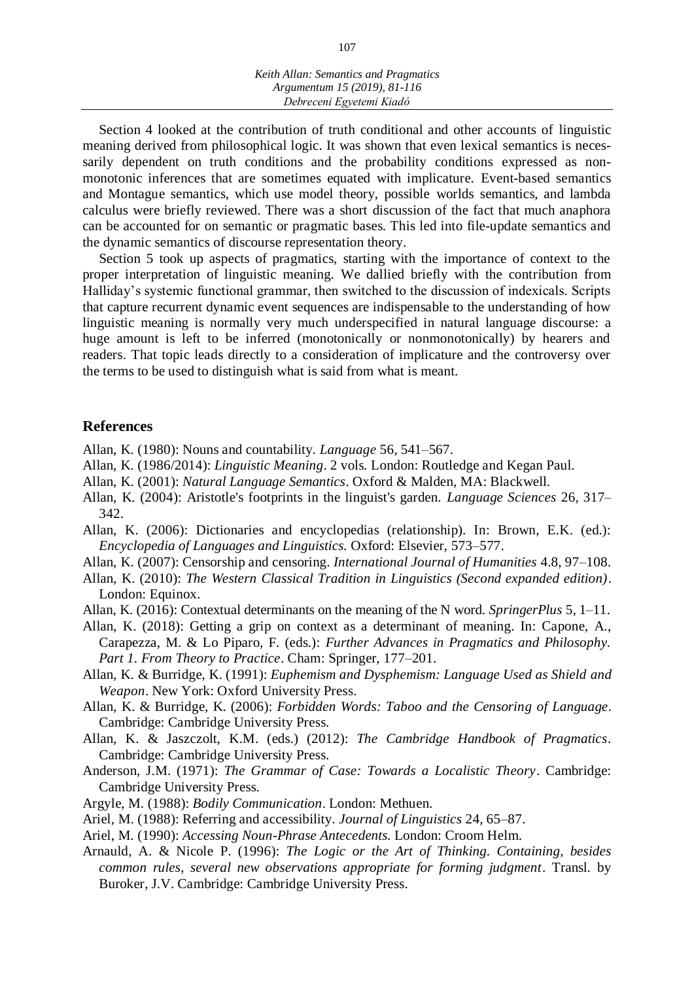Section 4 looked at the contribution of truth conditional and other accounts of linguistic meaning derived from philosophical logic. It was shown that even lexical semantics is necessarily dependent on truth conditions and the probability conditions expressed as nonmonotonic inferences that are sometimes equated with implicature. Event-based semantics and Montague semantics, which use model theory, possible worlds semantics, and lambda calculus were briefly reviewed. There was a short discussion of the fact that much anaphora can be accounted for on semantic or pragmatic bases. This led into file-update semantics and the dynamic semantics of discourse representation theory.

Section 5 took up aspects of pragmatics, starting with the importance of context to the proper interpretation of linguistic meaning. We dallied briefly with the contribution from Halliday's systemic functional grammar, then switched to the discussion of indexicals. Scripts that capture recurrent dynamic event sequences are indispensable to the understanding of how linguistic meaning is normally very much underspecified in natural language discourse: a huge amount is left to be inferred (monotonically or nonmonotonically) by hearers and readers. That topic leads directly to a consideration of implicature and the controversy over the terms to be used to distinguish what is said from what is meant.

#### **References**

- Allan, K. (1980): Nouns and countability. *Language* 56, 541–567.
- Allan, K. (1986/2014): *Linguistic Meaning*. 2 vols. London: Routledge and Kegan Paul.
- Allan, K. (2001): *Natural Language Semantics*. Oxford & Malden, MA: Blackwell.
- Allan, K. (2004): Aristotle's footprints in the linguist's garden. *Language Sciences* 26, 317– 342.
- Allan, K. (2006): Dictionaries and encyclopedias (relationship). In: Brown, E.K. (ed.): *Encyclopedia of Languages and Linguistics.* Oxford: Elsevier, 573–577.
- Allan, K. (2007): Censorship and censoring. *International Journal of Humanities* 4.8, 97–108.
- Allan, K. (2010): *The Western Classical Tradition in Linguistics (Second expanded edition)*. London: Equinox.
- Allan, K. (2016): Contextual determinants on the meaning of the N word. *SpringerPlus* 5, 1–11.

Allan, K. (2018): Getting a grip on context as a determinant of meaning. In: Capone, A., Carapezza, M. & Lo Piparo, F. (eds.): *Further Advances in Pragmatics and Philosophy. Part 1. From Theory to Practice*. Cham: Springer, 177–201.

- Allan, K. & Burridge, K. (1991): *Euphemism and Dysphemism: Language Used as Shield and Weapon*. New York: Oxford University Press.
- Allan, K. & Burridge, K. (2006): *Forbidden Words: Taboo and the Censoring of Language*. Cambridge: Cambridge University Press.
- Allan, K. & Jaszczolt, K.M. (eds.) (2012): *The Cambridge Handbook of Pragmatics*. Cambridge: Cambridge University Press.
- Anderson, J.M. (1971): *The Grammar of Case: Towards a Localistic Theory*. Cambridge: Cambridge University Press.
- Argyle, M. (1988): *Bodily Communication*. London: Methuen.
- Ariel, M. (1988): Referring and accessibility. *Journal of Linguistics* 24, 65–87.
- Ariel, M. (1990): *Accessing Noun-Phrase Antecedents.* London: Croom Helm.
- Arnauld, A. & Nicole P. (1996): *The Logic or the Art of Thinking. Containing, besides common rules, several new observations appropriate for forming judgment*. Transl. by Buroker, J.V. Cambridge: Cambridge University Press.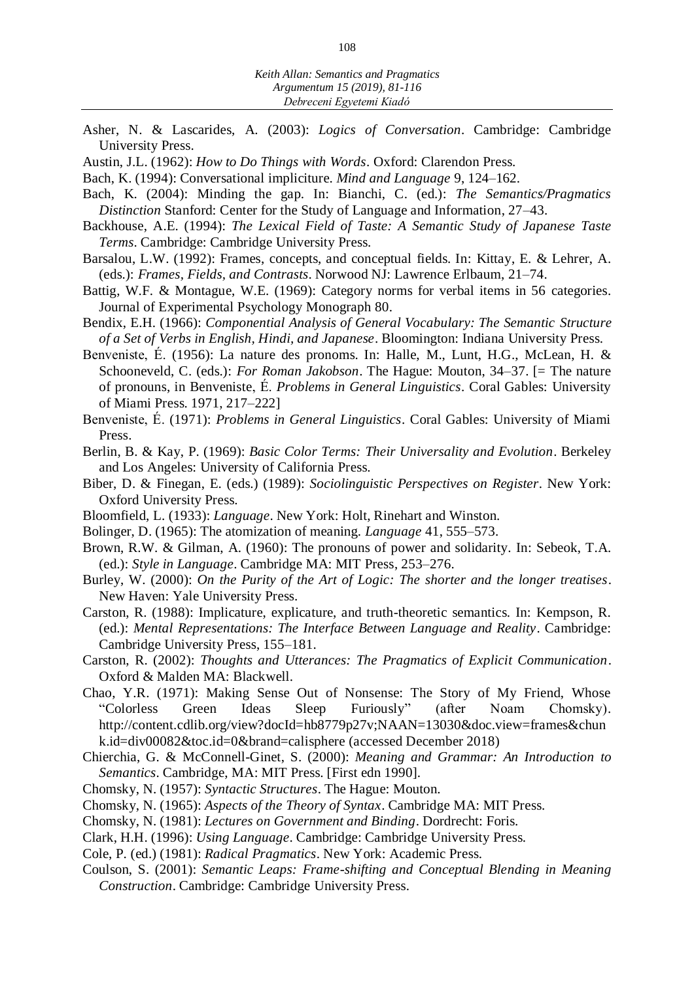- Asher, N. & Lascarides, A. (2003): *Logics of Conversation*. Cambridge: Cambridge University Press.
- Austin, J.L. (1962): *How to Do Things with Words*. Oxford: Clarendon Press.
- Bach, K. (1994): Conversational impliciture. *Mind and Language* 9, 124–162.
- Bach, K. (2004): Minding the gap. In: Bianchi, C. (ed.): *The Semantics/Pragmatics Distinction* Stanford: Center for the Study of Language and Information, 27–43.
- Backhouse, A.E. (1994): *The Lexical Field of Taste: A Semantic Study of Japanese Taste Terms*. Cambridge: Cambridge University Press.
- Barsalou, L.W. (1992): Frames, concepts, and conceptual fields. In: Kittay, E. & Lehrer, A. (eds.): *Frames, Fields, and Contrasts*. Norwood NJ: Lawrence Erlbaum, 21–74.
- Battig, W.F. & Montague, W.E. (1969): Category norms for verbal items in 56 categories. Journal of Experimental Psychology Monograph 80.
- Bendix, E.H. (1966): *Componential Analysis of General Vocabulary: The Semantic Structure of a Set of Verbs in English, Hindi, and Japanese*. Bloomington: Indiana University Press.
- Benveniste, É. (1956): La nature des pronoms. In: Halle, M., Lunt, H.G., McLean, H. & Schooneveld, C. (eds.): *For Roman Jakobson*. The Hague: Mouton, 34–37. [= The nature of pronouns, in Benveniste, É. *Problems in General Linguistics*. Coral Gables: University of Miami Press. 1971, 217–222]
- Benveniste, É. (1971): *Problems in General Linguistics*. Coral Gables: University of Miami Press.
- Berlin, B. & Kay, P. (1969): *Basic Color Terms: Their Universality and Evolution*. Berkeley and Los Angeles: University of California Press.
- Biber, D. & Finegan, E. (eds.) (1989): *Sociolinguistic Perspectives on Register*. New York: Oxford University Press.
- Bloomfield, L. (1933): *Language*. New York: Holt, Rinehart and Winston.
- Bolinger, D. (1965): The atomization of meaning. *Language* 41, 555–573.
- Brown, R.W. & Gilman, A. (1960): The pronouns of power and solidarity. In: Sebeok, T.A. (ed.): *Style in Language*. Cambridge MA: MIT Press, 253–276.
- Burley, W. (2000): *On the Purity of the Art of Logic: The shorter and the longer treatises*. New Haven: Yale University Press.
- Carston, R. (1988): Implicature, explicature, and truth-theoretic semantics. In: Kempson, R. (ed.): *Mental Representations: The Interface Between Language and Reality*. Cambridge: Cambridge University Press, 155–181.
- Carston, R. (2002): *Thoughts and Utterances: The Pragmatics of Explicit Communication*. Oxford & Malden MA: Blackwell.
- Chao, Y.R. (1971): Making Sense Out of Nonsense: The Story of My Friend, Whose "Colorless Green Ideas Sleep Furiously" (after Noam Chomsky). http://content.cdlib.org/view?docId=hb8779p27v;NAAN=13030&doc.view=frames&chun k.id=div00082&toc.id=0&brand=calisphere (accessed December 2018)
- Chierchia, G. & McConnell-Ginet, S. (2000): *Meaning and Grammar: An Introduction to Semantics*. Cambridge, MA: MIT Press. [First edn 1990].
- Chomsky, N. (1957): *Syntactic Structures*. The Hague: Mouton.
- Chomsky, N. (1965): *Aspects of the Theory of Syntax*. Cambridge MA: MIT Press.
- Chomsky, N. (1981): *Lectures on Government and Binding*. Dordrecht: Foris.
- Clark, H.H. (1996): *Using Language*. Cambridge: Cambridge University Press.
- Cole, P. (ed.) (1981): *Radical Pragmatics*. New York: Academic Press.
- Coulson, S. (2001): *Semantic Leaps: Frame-shifting and Conceptual Blending in Meaning Construction*. Cambridge: Cambridge University Press.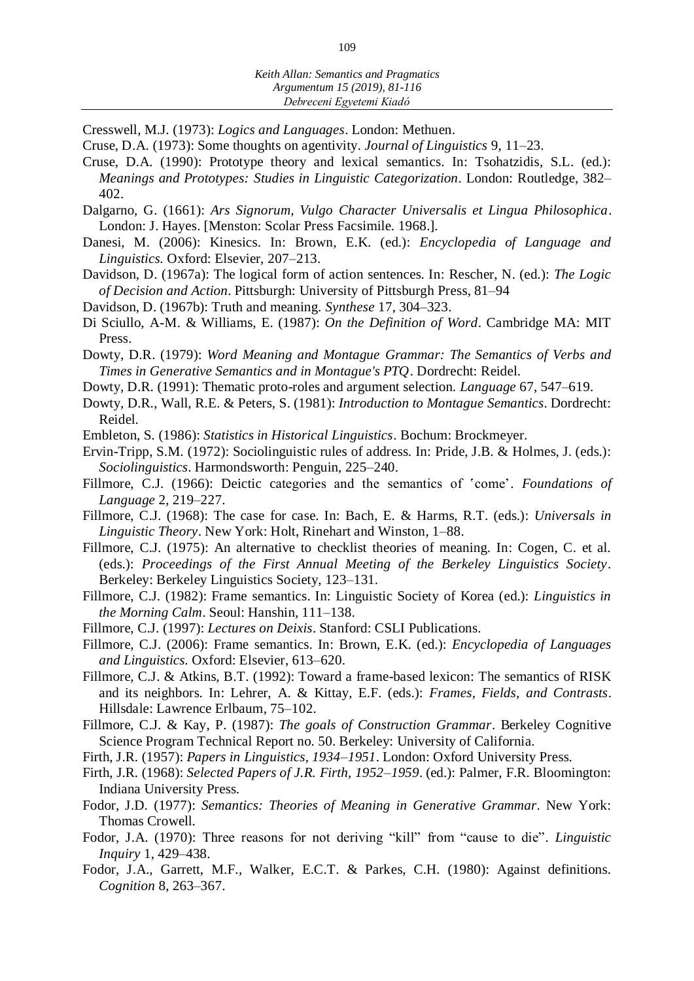*Debreceni Egyetemi Kiadó*

Cresswell, M.J. (1973): *Logics and Languages*. London: Methuen.

- Cruse, D.A. (1973): Some thoughts on agentivity. *Journal of Linguistics* 9, 11–23.
- Cruse, D.A. (1990): Prototype theory and lexical semantics. In: Tsohatzidis, S.L. (ed.): *Meanings and Prototypes: Studies in Linguistic Categorization*. London: Routledge, 382– 402.
- Dalgarno, G. (1661): *Ars Signorum, Vulgo Character Universalis et Lingua Philosophica*. London: J. Hayes. [Menston: Scolar Press Facsimile. 1968.].
- Danesi, M. (2006): Kinesics. In: Brown, E.K. (ed.): *Encyclopedia of Language and Linguistics.* Oxford: Elsevier, 207–213.
- Davidson, D. (1967a): The logical form of action sentences. In: Rescher, N. (ed.): *The Logic of Decision and Action*. Pittsburgh: University of Pittsburgh Press, 81–94
- Davidson, D. (1967b): Truth and meaning. *Synthese* 17, 304–323.
- Di Sciullo, A-M. & Williams, E. (1987): *On the Definition of Word*. Cambridge MA: MIT Press.
- Dowty, D.R. (1979): *Word Meaning and Montague Grammar: The Semantics of Verbs and Times in Generative Semantics and in Montague's PTQ*. Dordrecht: Reidel.
- Dowty, D.R. (1991): Thematic proto-roles and argument selection. *Language* 67, 547–619.
- Dowty, D.R., Wall, R.E. & Peters, S. (1981): *Introduction to Montague Semantics*. Dordrecht: Reidel.
- Embleton, S. (1986): *Statistics in Historical Linguistics*. Bochum: Brockmeyer.
- Ervin-Tripp, S.M. (1972): Sociolinguistic rules of address. In: Pride, J.B. & Holmes, J. (eds.): *Sociolinguistics*. Harmondsworth: Penguin, 225–240.
- Fillmore, C.J. (1966): Deictic categories and the semantics of 'come'. *Foundations of Language* 2, 219–227.
- Fillmore, C.J. (1968): The case for case. In: Bach, E. & Harms, R.T. (eds.): *Universals in Linguistic Theory*. New York: Holt, Rinehart and Winston, 1–88.
- Fillmore, C.J. (1975): An alternative to checklist theories of meaning. In: Cogen, C. et al. (eds.): *Proceedings of the First Annual Meeting of the Berkeley Linguistics Society*. Berkeley: Berkeley Linguistics Society, 123–131.
- Fillmore, C.J. (1982): Frame semantics. In: Linguistic Society of Korea (ed.): *Linguistics in the Morning Calm*. Seoul: Hanshin, 111–138.
- Fillmore, C.J. (1997): *Lectures on Deixis*. Stanford: CSLI Publications.
- Fillmore, C.J. (2006): Frame semantics. In: Brown, E.K. (ed.): *Encyclopedia of Languages and Linguistics.* Oxford: Elsevier, 613–620.
- Fillmore, C.J. & Atkins, B.T. (1992): Toward a frame-based lexicon: The semantics of RISK and its neighbors. In: Lehrer, A. & Kittay, E.F. (eds.): *Frames, Fields, and Contrasts*. Hillsdale: Lawrence Erlbaum, 75–102.
- Fillmore, C.J. & Kay, P. (1987): *The goals of Construction Grammar*. Berkeley Cognitive Science Program Technical Report no. 50. Berkeley: University of California.
- Firth, J.R. (1957): *Papers in Linguistics, 1934–1951*. London: Oxford University Press.
- Firth, J.R. (1968): *Selected Papers of J.R. Firth, 1952–1959*. (ed.): Palmer, F.R. Bloomington: Indiana University Press.
- Fodor, J.D. (1977): *Semantics: Theories of Meaning in Generative Grammar*. New York: Thomas Crowell.
- Fodor, J.A. (1970): Three reasons for not deriving "kill" from "cause to die". *Linguistic Inquiry* 1, 429–438.
- Fodor, J.A., Garrett, M.F., Walker, E.C.T. & Parkes, C.H. (1980): Against definitions. *Cognition* 8, 263–367.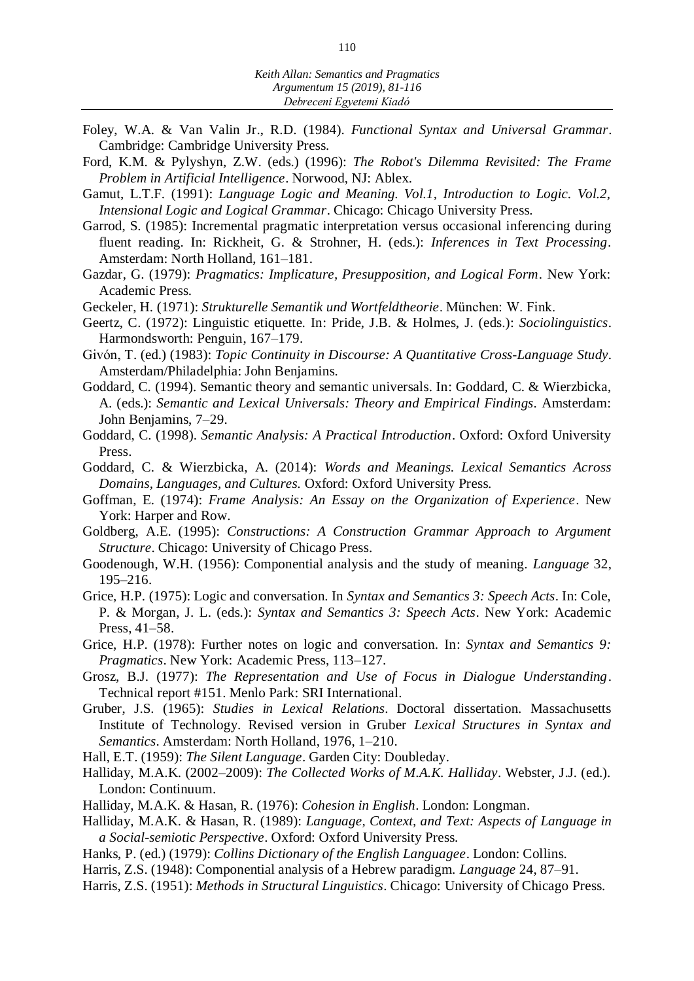- Foley, W.A. & Van Valin Jr., R.D. (1984). *Functional Syntax and Universal Grammar*. Cambridge: Cambridge University Press.
- Ford, K.M. & Pylyshyn, Z.W. (eds.) (1996): *The Robot's Dilemma Revisited: The Frame Problem in Artificial Intelligence*. Norwood, NJ: Ablex.
- Gamut, L.T.F. (1991): *Language Logic and Meaning. Vol.1, Introduction to Logic. Vol.2, Intensional Logic and Logical Grammar*. Chicago: Chicago University Press.
- Garrod, S. (1985): Incremental pragmatic interpretation versus occasional inferencing during fluent reading. In: Rickheit, G. & Strohner, H. (eds.): *Inferences in Text Processing*. Amsterdam: North Holland, 161–181.
- Gazdar, G. (1979): *Pragmatics: Implicature, Presupposition, and Logical Form*. New York: Academic Press.
- Geckeler, H. (1971): *Strukturelle Semantik und Wortfeldtheorie*. München: W. Fink.
- Geertz, C. (1972): Linguistic etiquette. In: Pride, J.B. & Holmes, J. (eds.): *Sociolinguistics*. Harmondsworth: Penguin, 167–179.
- Givón, T. (ed.) (1983): *Topic Continuity in Discourse: A Quantitative Cross-Language Study*. Amsterdam/Philadelphia: John Benjamins.
- Goddard, C. (1994). Semantic theory and semantic universals. In: Goddard, C. & Wierzbicka, A. (eds.): *Semantic and Lexical Universals: Theory and Empirical Findings.* Amsterdam: John Benjamins, 7–29.
- Goddard, C. (1998). *Semantic Analysis: A Practical Introduction*. Oxford: Oxford University Press.
- Goddard, C. & Wierzbicka, A. (2014): *Words and Meanings. Lexical Semantics Across Domains, Languages, and Cultures.* Oxford: Oxford University Press.
- Goffman, E. (1974): *Frame Analysis: An Essay on the Organization of Experience*. New York: Harper and Row.
- Goldberg, A.E. (1995): *Constructions: A Construction Grammar Approach to Argument Structure*. Chicago: University of Chicago Press.
- Goodenough, W.H. (1956): Componential analysis and the study of meaning. *Language* 32, 195–216.
- Grice, H.P. (1975): Logic and conversation. In *Syntax and Semantics 3: Speech Acts*. In: Cole, P. & Morgan, J. L. (eds.): *Syntax and Semantics 3: Speech Acts*. New York: Academic Press, 41–58.
- Grice, H.P. (1978): Further notes on logic and conversation. In: *Syntax and Semantics 9: Pragmatics*. New York: Academic Press, 113–127.
- Grosz, B.J. (1977): *The Representation and Use of Focus in Dialogue Understanding*. Technical report #151. Menlo Park: SRI International.
- Gruber, J.S. (1965): *Studies in Lexical Relations*. Doctoral dissertation. Massachusetts Institute of Technology. Revised version in Gruber *Lexical Structures in Syntax and Semantics*. Amsterdam: North Holland, 1976, 1–210.
- Hall, E.T. (1959): *The Silent Language*. Garden City: Doubleday.
- Halliday, M.A.K. (2002–2009): *The Collected Works of M.A.K. Halliday*. Webster, J.J. (ed.). London: Continuum.
- Halliday, M.A.K. & Hasan, R. (1976): *Cohesion in English*. London: Longman.
- Halliday, M.A.K. & Hasan, R. (1989): *Language, Context, and Text: Aspects of Language in a Social-semiotic Perspective*. Oxford: Oxford University Press.
- Hanks, P. (ed.) (1979): *Collins Dictionary of the English Languagee*. London: Collins.
- Harris, Z.S. (1948): Componential analysis of a Hebrew paradigm. *Language* 24, 87–91.
- Harris, Z.S. (1951): *Methods in Structural Linguistics*. Chicago: University of Chicago Press.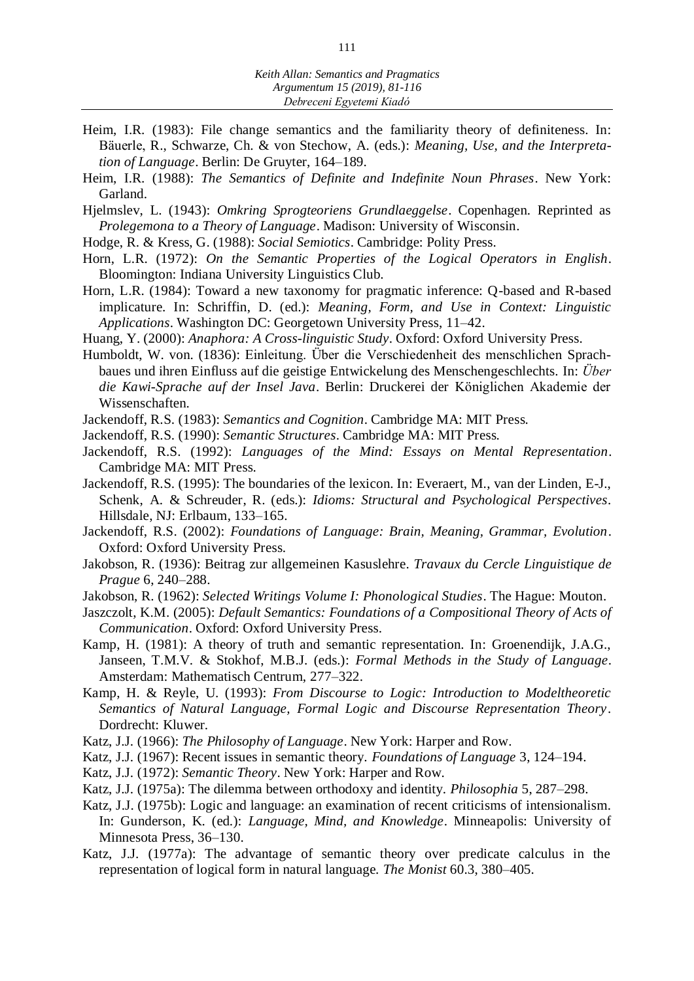- Heim, I.R. (1983): File change semantics and the familiarity theory of definiteness. In: Bäuerle, R., Schwarze, Ch. & von Stechow, A. (eds.): *Meaning, Use, and the Interpretation of Language*. Berlin: De Gruyter, 164–189.
- Heim, I.R. (1988): *The Semantics of Definite and Indefinite Noun Phrases*. New York: Garland.
- Hjelmslev, L. (1943): *Omkring Sprogteoriens Grundlaeggelse*. Copenhagen. Reprinted as *Prolegemona to a Theory of Language*. Madison: University of Wisconsin.
- Hodge, R. & Kress, G. (1988): *Social Semiotics*. Cambridge: Polity Press.
- Horn, L.R. (1972): *On the Semantic Properties of the Logical Operators in English*. Bloomington: Indiana University Linguistics Club.
- Horn, L.R. (1984): Toward a new taxonomy for pragmatic inference: Q-based and R-based implicature. In: Schriffin, D. (ed.): *Meaning, Form, and Use in Context: Linguistic Applications*. Washington DC: Georgetown University Press, 11–42.
- Huang, Y. (2000): *Anaphora: A Cross-linguistic Study*. Oxford: Oxford University Press.
- Humboldt, W. von. (1836): Einleitung. Über die Verschiedenheit des menschlichen Sprachbaues und ihren Einfluss auf die geistige Entwickelung des Menschengeschlechts. In: *Über die Kawi-Sprache auf der Insel Java*. Berlin: Druckerei der Königlichen Akademie der Wissenschaften.
- Jackendoff, R.S. (1983): *Semantics and Cognition*. Cambridge MA: MIT Press.
- Jackendoff, R.S. (1990): *Semantic Structures*. Cambridge MA: MIT Press.
- Jackendoff, R.S. (1992): *Languages of the Mind: Essays on Mental Representation*. Cambridge MA: MIT Press.
- Jackendoff, R.S. (1995): The boundaries of the lexicon. In: Everaert, M., van der Linden, E-J., Schenk, A. & Schreuder, R. (eds.): *Idioms: Structural and Psychological Perspectives*. Hillsdale, NJ: Erlbaum, 133–165.
- Jackendoff, R.S. (2002): *Foundations of Language: Brain, Meaning, Grammar, Evolution*. Oxford: Oxford University Press.
- Jakobson, R. (1936): Beitrag zur allgemeinen Kasuslehre. *Travaux du Cercle Linguistique de Prague* 6, 240–288.
- Jakobson, R. (1962): *Selected Writings Volume I: Phonological Studies*. The Hague: Mouton.
- Jaszczolt, K.M. (2005): *Default Semantics: Foundations of a Compositional Theory of Acts of Communication*. Oxford: Oxford University Press.
- Kamp, H. (1981): A theory of truth and semantic representation. In: Groenendijk, J.A.G., Janseen, T.M.V. & Stokhof, M.B.J. (eds.): *Formal Methods in the Study of Language*. Amsterdam: Mathematisch Centrum, 277–322.
- Kamp, H. & Reyle, U. (1993): *From Discourse to Logic: Introduction to Modeltheoretic Semantics of Natural Language, Formal Logic and Discourse Representation Theory*. Dordrecht: Kluwer.
- Katz, J.J. (1966): *The Philosophy of Language*. New York: Harper and Row.
- Katz, J.J. (1967): Recent issues in semantic theory. *Foundations of Language* 3, 124–194.
- Katz, J.J. (1972): *Semantic Theory*. New York: Harper and Row.
- Katz, J.J. (1975a): The dilemma between orthodoxy and identity. *Philosophia* 5, 287–298.
- Katz, J.J. (1975b): Logic and language: an examination of recent criticisms of intensionalism. In: Gunderson, K. (ed.): *Language, Mind, and Knowledge*. Minneapolis: University of Minnesota Press, 36–130.
- Katz, J.J. (1977a): The advantage of semantic theory over predicate calculus in the representation of logical form in natural language. *The Monist* 60.3, 380–405.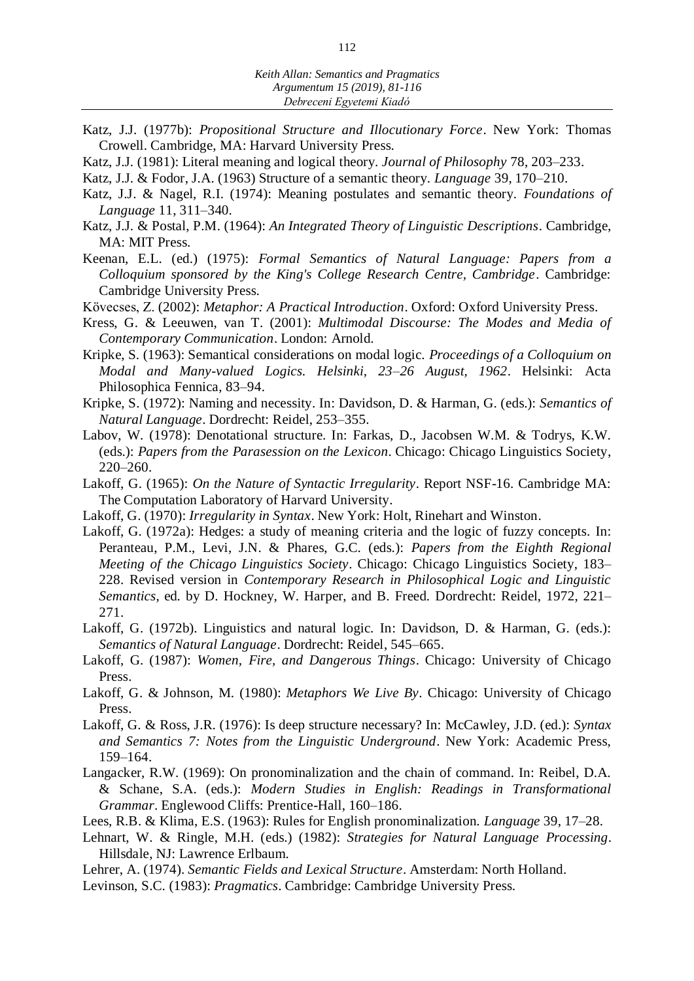- Katz, J.J. (1977b): *Propositional Structure and Illocutionary Force*. New York: Thomas Crowell. Cambridge, MA: Harvard University Press.
- Katz, J.J. (1981): Literal meaning and logical theory. *Journal of Philosophy* 78, 203–233.
- Katz, J.J. & Fodor, J.A. (1963) Structure of a semantic theory. *Language* 39, 170–210.
- Katz, J.J. & Nagel, R.I. (1974): Meaning postulates and semantic theory. *Foundations of Language* 11, 311–340.
- Katz, J.J. & Postal, P.M. (1964): *An Integrated Theory of Linguistic Descriptions*. Cambridge, MA: MIT Press.
- Keenan, E.L. (ed.) (1975): *Formal Semantics of Natural Language: Papers from a Colloquium sponsored by the King's College Research Centre, Cambridge*. Cambridge: Cambridge University Press.
- Kövecses, Z. (2002): *Metaphor: A Practical Introduction*. Oxford: Oxford University Press.
- Kress, G. & Leeuwen, van T. (2001): *Multimodal Discourse: The Modes and Media of Contemporary Communication*. London: Arnold.
- Kripke, S. (1963): Semantical considerations on modal logic. *Proceedings of a Colloquium on Modal and Many-valued Logics. Helsinki, 23–26 August, 1962*. Helsinki: Acta Philosophica Fennica, 83–94.
- Kripke, S. (1972): Naming and necessity. In: Davidson, D. & Harman, G. (eds.): *Semantics of Natural Language*. Dordrecht: Reidel, 253–355.
- Labov, W. (1978): Denotational structure. In: Farkas, D., Jacobsen W.M. & Todrys, K.W. (eds.): *Papers from the Parasession on the Lexicon*. Chicago: Chicago Linguistics Society, 220–260.
- Lakoff, G. (1965): *On the Nature of Syntactic Irregularity*. Report NSF-16. Cambridge MA: The Computation Laboratory of Harvard University.
- Lakoff, G. (1970): *Irregularity in Syntax*. New York: Holt, Rinehart and Winston.
- Lakoff, G. (1972a): Hedges: a study of meaning criteria and the logic of fuzzy concepts. In: Peranteau, P.M., Levi, J.N. & Phares, G.C. (eds.): *Papers from the Eighth Regional Meeting of the Chicago Linguistics Society*. Chicago: Chicago Linguistics Society, 183– 228. Revised version in *Contemporary Research in Philosophical Logic and Linguistic Semantics*, ed. by D. Hockney, W. Harper, and B. Freed. Dordrecht: Reidel, 1972, 221– 271.
- Lakoff, G. (1972b). Linguistics and natural logic. In: Davidson, D. & Harman, G. (eds.): *Semantics of Natural Language*. Dordrecht: Reidel, 545–665.
- Lakoff, G. (1987): *Women, Fire, and Dangerous Things*. Chicago: University of Chicago Press.
- Lakoff, G. & Johnson, M. (1980): *Metaphors We Live By*. Chicago: University of Chicago Press.
- Lakoff, G. & Ross, J.R. (1976): Is deep structure necessary? In: McCawley, J.D. (ed.): *Syntax and Semantics 7: Notes from the Linguistic Underground*. New York: Academic Press, 159–164.
- Langacker, R.W. (1969): On pronominalization and the chain of command. In: Reibel, D.A. & Schane, S.A. (eds.): *Modern Studies in English: Readings in Transformational Grammar*. Englewood Cliffs: Prentice-Hall, 160–186.
- Lees, R.B. & Klima, E.S. (1963): Rules for English pronominalization. *Language* 39, 17–28.
- Lehnart, W. & Ringle, M.H. (eds.) (1982): *Strategies for Natural Language Processing*. Hillsdale, NJ: Lawrence Erlbaum.
- Lehrer, A. (1974). *Semantic Fields and Lexical Structure*. Amsterdam: North Holland.
- Levinson, S.C. (1983): *Pragmatics*. Cambridge: Cambridge University Press.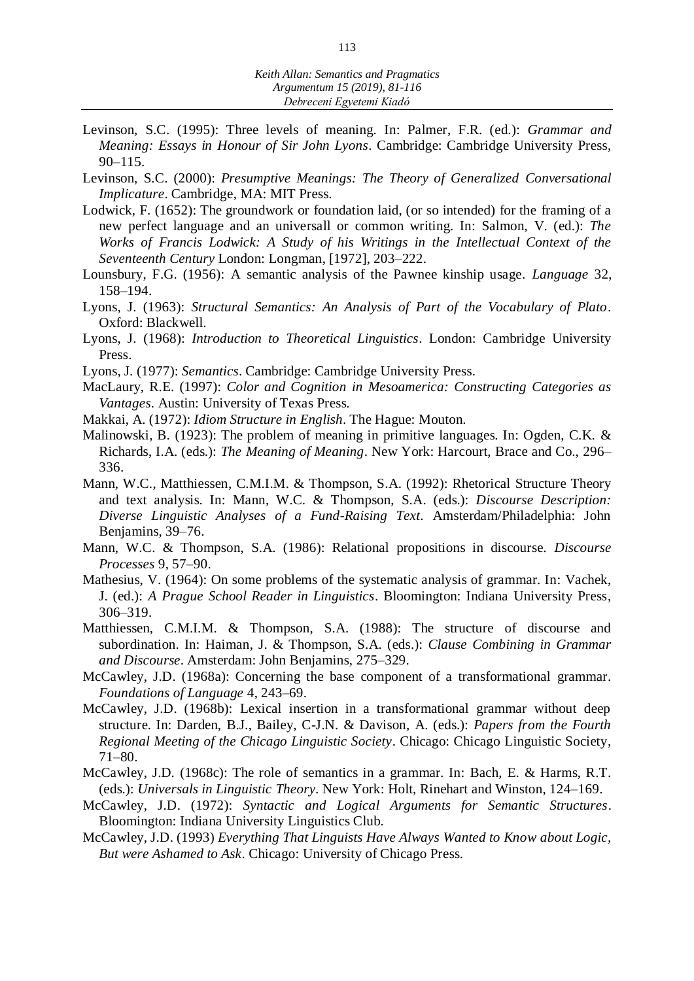- Levinson, S.C. (1995): Three levels of meaning. In: Palmer, F.R. (ed.): *Grammar and Meaning: Essays in Honour of Sir John Lyons*. Cambridge: Cambridge University Press, 90–115.
- Levinson, S.C. (2000): *Presumptive Meanings: The Theory of Generalized Conversational Implicature*. Cambridge, MA: MIT Press.
- Lodwick, F. (1652): The groundwork or foundation laid, (or so intended) for the framing of a new perfect language and an universall or common writing. In: Salmon, V. (ed.): *The Works of Francis Lodwick: A Study of his Writings in the Intellectual Context of the Seventeenth Century* London: Longman, [1972], 203–222.
- Lounsbury, F.G. (1956): A semantic analysis of the Pawnee kinship usage. *Language* 32, 158–194.
- Lyons, J. (1963): *Structural Semantics: An Analysis of Part of the Vocabulary of Plato*. Oxford: Blackwell.
- Lyons, J. (1968): *Introduction to Theoretical Linguistics*. London: Cambridge University Press.
- Lyons, J. (1977): *Semantics*. Cambridge: Cambridge University Press.
- MacLaury, R.E. (1997): *Color and Cognition in Mesoamerica: Constructing Categories as Vantages*. Austin: University of Texas Press.
- Makkai, A. (1972): *Idiom Structure in English*. The Hague: Mouton.
- Malinowski, B. (1923): The problem of meaning in primitive languages. In: Ogden, C.K. & Richards, I.A. (eds.): *The Meaning of Meaning*. New York: Harcourt, Brace and Co., 296– 336.
- Mann, W.C., Matthiessen, C.M.I.M. & Thompson, S.A. (1992): Rhetorical Structure Theory and text analysis. In: Mann, W.C. & Thompson, S.A. (eds.): *Discourse Description: Diverse Linguistic Analyses of a Fund-Raising Text*. Amsterdam/Philadelphia: John Benjamins, 39–76.
- Mann, W.C. & Thompson, S.A. (1986): Relational propositions in discourse. *Discourse Processes* 9, 57–90.
- Mathesius, V. (1964): On some problems of the systematic analysis of grammar. In: Vachek, J. (ed.): *A Prague School Reader in Linguistics*. Bloomington: Indiana University Press, 306–319.
- Matthiessen, C.M.I.M. & Thompson, S.A. (1988): The structure of discourse and subordination. In: Haiman, J. & Thompson, S.A. (eds.): *Clause Combining in Grammar and Discourse*. Amsterdam: John Benjamins, 275–329.
- McCawley, J.D. (1968a): Concerning the base component of a transformational grammar. *Foundations of Language* 4, 243–69.
- McCawley, J.D. (1968b): Lexical insertion in a transformational grammar without deep structure. In: Darden, B.J., Bailey, C-J.N. & Davison, A. (eds.): *Papers from the Fourth Regional Meeting of the Chicago Linguistic Society*. Chicago: Chicago Linguistic Society, 71–80.
- McCawley, J.D. (1968c): The role of semantics in a grammar. In: Bach, E. & Harms, R.T. (eds.): *Universals in Linguistic Theory.* New York: Holt, Rinehart and Winston, 124–169.
- McCawley, J.D. (1972): *Syntactic and Logical Arguments for Semantic Structures*. Bloomington: Indiana University Linguistics Club.
- McCawley, J.D. (1993) *Everything That Linguists Have Always Wanted to Know about Logic, But were Ashamed to Ask*. Chicago: University of Chicago Press.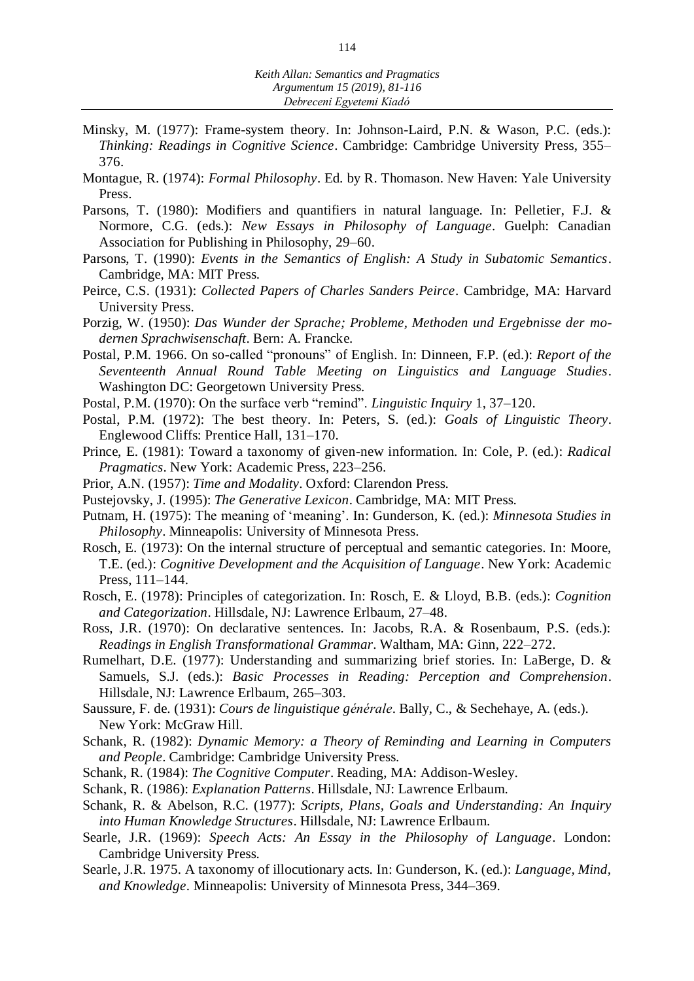- Minsky, M. (1977): Frame-system theory. In: Johnson-Laird, P.N. & Wason, P.C. (eds.): *Thinking: Readings in Cognitive Science*. Cambridge: Cambridge University Press, 355– 376.
- Montague, R. (1974): *Formal Philosophy*. Ed. by R. Thomason. New Haven: Yale University Press.
- Parsons, T. (1980): Modifiers and quantifiers in natural language. In: Pelletier, F.J. & Normore, C.G. (eds.): *New Essays in Philosophy of Language*. Guelph: Canadian Association for Publishing in Philosophy, 29–60.
- Parsons, T. (1990): *Events in the Semantics of English: A Study in Subatomic Semantics*. Cambridge, MA: MIT Press.
- Peirce, C.S. (1931): *Collected Papers of Charles Sanders Peirce*. Cambridge, MA: Harvard University Press.
- Porzig, W. (1950): *Das Wunder der Sprache; Probleme, Methoden und Ergebnisse der modernen Sprachwisenschaft*. Bern: A. Francke.
- Postal, P.M. 1966. On so-called "pronouns" of English. In: Dinneen, F.P. (ed.): *Report of the Seventeenth Annual Round Table Meeting on Linguistics and Language Studies*. Washington DC: Georgetown University Press.
- Postal, P.M. (1970): On the surface verb "remind". *Linguistic Inquiry* 1, 37–120.
- Postal, P.M. (1972): The best theory. In: Peters, S. (ed.): *Goals of Linguistic Theory*. Englewood Cliffs: Prentice Hall, 131–170.
- Prince, E. (1981): Toward a taxonomy of given-new information. In: Cole, P. (ed.): *Radical Pragmatics*. New York: Academic Press, 223–256.
- Prior, A.N. (1957): *Time and Modality*. Oxford: Clarendon Press.
- Pustejovsky, J. (1995): *The Generative Lexicon*. Cambridge, MA: MIT Press.
- Putnam, H. (1975): The meaning of 'meaning'. In: Gunderson, K. (ed.): *Minnesota Studies in Philosophy*. Minneapolis: University of Minnesota Press.
- Rosch, E. (1973): On the internal structure of perceptual and semantic categories. In: Moore, T.E. (ed.): *Cognitive Development and the Acquisition of Language*. New York: Academic Press, 111–144.
- Rosch, E. (1978): Principles of categorization. In: Rosch, E. & Lloyd, B.B. (eds.): *Cognition and Categorization*. Hillsdale, NJ: Lawrence Erlbaum, 27–48.
- Ross, J.R. (1970): On declarative sentences. In: Jacobs, R.A. & Rosenbaum, P.S. (eds.): *Readings in English Transformational Grammar*. Waltham, MA: Ginn, 222–272.
- Rumelhart, D.E. (1977): Understanding and summarizing brief stories. In: LaBerge, D. & Samuels, S.J. (eds.): *Basic Processes in Reading: Perception and Comprehension*. Hillsdale, NJ: Lawrence Erlbaum, 265–303.
- Saussure, F. de. (1931): *Cours de linguistique générale*. Bally, C., & Sechehaye, A. (eds.). New York: McGraw Hill.
- Schank, R. (1982): *Dynamic Memory: a Theory of Reminding and Learning in Computers and People*. Cambridge: Cambridge University Press.
- Schank, R. (1984): *The Cognitive Computer*. Reading, MA: Addison-Wesley.
- Schank, R. (1986): *Explanation Patterns*. Hillsdale, NJ: Lawrence Erlbaum.
- Schank, R. & Abelson, R.C. (1977): *Scripts, Plans, Goals and Understanding: An Inquiry into Human Knowledge Structures*. Hillsdale, NJ: Lawrence Erlbaum.
- Searle, J.R. (1969): *Speech Acts: An Essay in the Philosophy of Language*. London: Cambridge University Press.
- Searle, J.R. 1975. A taxonomy of illocutionary acts. In: Gunderson, K. (ed.): *Language, Mind, and Knowledge*. Minneapolis: University of Minnesota Press, 344–369.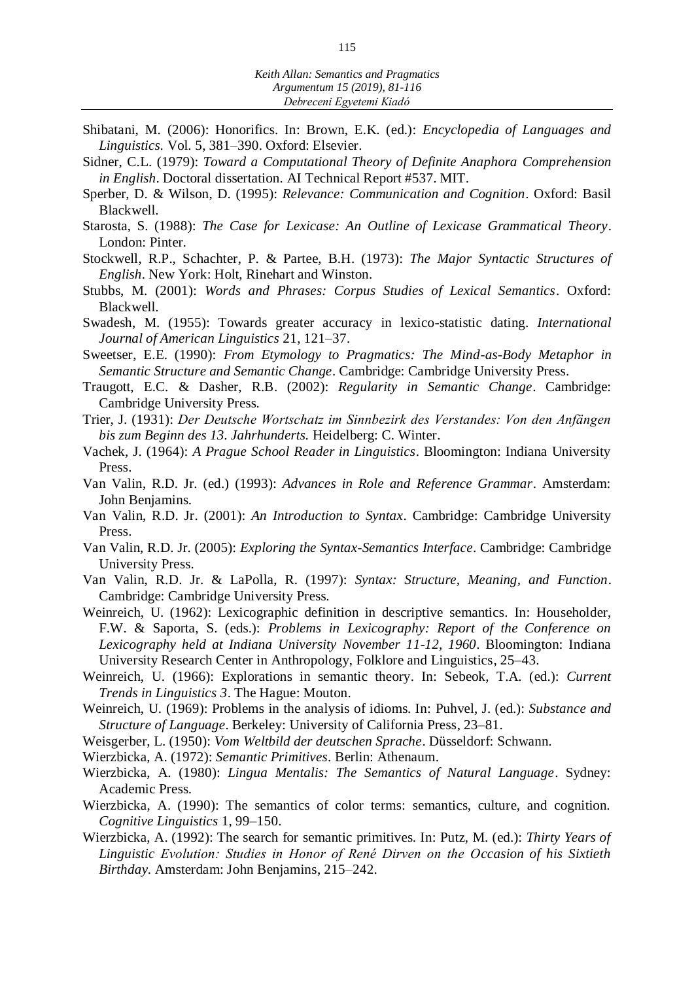- Shibatani, M. (2006): Honorifics. In: Brown, E.K. (ed.): *Encyclopedia of Languages and Linguistics.* Vol. 5, 381–390. Oxford: Elsevier.
- Sidner, C.L. (1979): *Toward a Computational Theory of Definite Anaphora Comprehension in English*. Doctoral dissertation. AI Technical Report #537. MIT.
- Sperber, D. & Wilson, D. (1995): *Relevance: Communication and Cognition*. Oxford: Basil Blackwell.
- Starosta, S. (1988): *The Case for Lexicase: An Outline of Lexicase Grammatical Theory*. London: Pinter.
- Stockwell, R.P., Schachter, P. & Partee, B.H. (1973): *The Major Syntactic Structures of English*. New York: Holt, Rinehart and Winston.
- Stubbs, M. (2001): *Words and Phrases: Corpus Studies of Lexical Semantics*. Oxford: Blackwell.
- Swadesh, M. (1955): Towards greater accuracy in lexico-statistic dating. *International Journal of American Linguistics* 21, 121–37.
- Sweetser, E.E. (1990): *From Etymology to Pragmatics: The Mind-as-Body Metaphor in Semantic Structure and Semantic Change*. Cambridge: Cambridge University Press.
- Traugott, E.C. & Dasher, R.B. (2002): *Regularity in Semantic Change*. Cambridge: Cambridge University Press.
- Trier, J. (1931): *Der Deutsche Wortschatz im Sinnbezirk des Verstandes: Von den Anfängen bis zum Beginn des 13. Jahrhunderts.* Heidelberg: C. Winter.
- Vachek, J. (1964): *A Prague School Reader in Linguistics*. Bloomington: Indiana University Press.
- Van Valin, R.D. Jr. (ed.) (1993): *Advances in Role and Reference Grammar*. Amsterdam: John Benjamins.
- Van Valin, R.D. Jr. (2001): *An Introduction to Syntax*. Cambridge: Cambridge University Press.
- Van Valin, R.D. Jr. (2005): *Exploring the Syntax-Semantics Interface*. Cambridge: Cambridge University Press.
- Van Valin, R.D. Jr. & LaPolla, R. (1997): *Syntax: Structure, Meaning, and Function*. Cambridge: Cambridge University Press.
- Weinreich, U. (1962): Lexicographic definition in descriptive semantics. In: Householder, F.W. & Saporta, S. (eds.): *Problems in Lexicography: Report of the Conference on Lexicography held at Indiana University November 11-12, 1960*. Bloomington: Indiana University Research Center in Anthropology, Folklore and Linguistics, 25–43.
- Weinreich, U. (1966): Explorations in semantic theory. In: Sebeok, T.A. (ed.): *Current Trends in Linguistics 3*. The Hague: Mouton.
- Weinreich, U. (1969): Problems in the analysis of idioms. In: Puhvel, J. (ed.): *Substance and Structure of Language*. Berkeley: University of California Press, 23–81.
- Weisgerber, L. (1950): *Vom Weltbild der deutschen Sprache*. Düsseldorf: Schwann.
- Wierzbicka, A. (1972): *Semantic Primitives*. Berlin: Athenaum.
- Wierzbicka, A. (1980): *Lingua Mentalis: The Semantics of Natural Language*. Sydney: Academic Press.
- Wierzbicka, A. (1990): The semantics of color terms: semantics, culture, and cognition. *Cognitive Linguistics* 1, 99–150.
- Wierzbicka, A. (1992): The search for semantic primitives. In: Putz, M. (ed.): *Thirty Years of Linguistic Evolution: Studies in Honor of René Dirven on the Occasion of his Sixtieth Birthday.* Amsterdam: John Benjamins, 215–242.